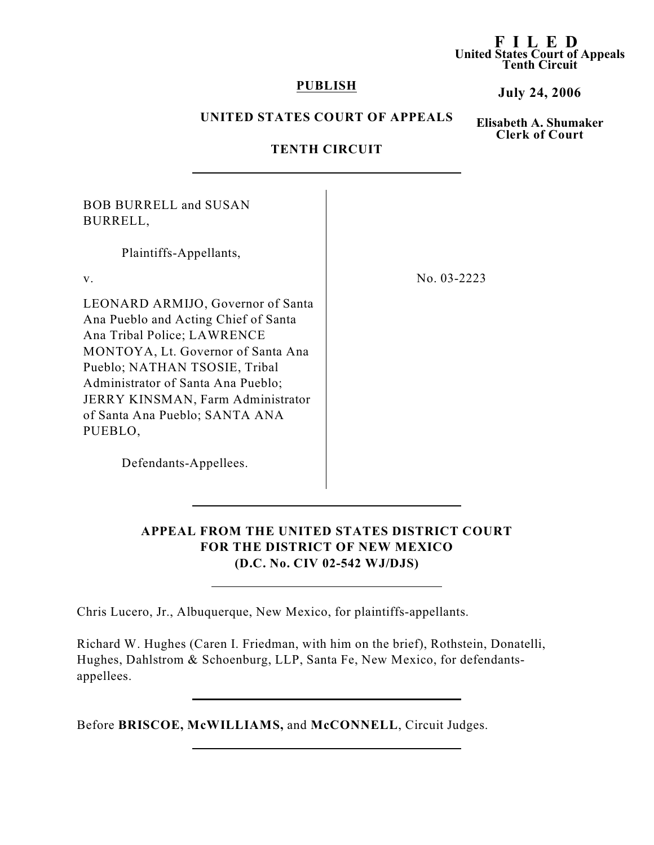#### **F I LED United States Court of Appeals Tenth Circuit**

### **PUBLISH**

### **July 24, 2006**

## **UNITED STATES COURT OF APPEALS**

**Elisabeth A. Shumaker Clerk of Court**

## **TENTH CIRCUIT**

BOB BURRELL and SUSAN BURRELL,

Plaintiffs-Appellants,

LEONARD ARMIJO, Governor of Santa Ana Pueblo and Acting Chief of Santa Ana Tribal Police; LAWRENCE MONTOYA, Lt. Governor of Santa Ana Pueblo; NATHAN TSOSIE, Tribal Administrator of Santa Ana Pueblo; JERRY KINSMAN, Farm Administrator of Santa Ana Pueblo; SANTA ANA PUEBLO,

v. No. 03-2223

Defendants-Appellees.

## **APPEAL FROM THE UNITED STATES DISTRICT COURT FOR THE DISTRICT OF NEW MEXICO (D.C. No. CIV 02-542 WJ/DJS)**

Chris Lucero, Jr., Albuquerque, New Mexico, for plaintiffs-appellants.

Richard W. Hughes (Caren I. Friedman, with him on the brief), Rothstein, Donatelli, Hughes, Dahlstrom & Schoenburg, LLP, Santa Fe, New Mexico, for defendantsappellees.

Before **BRISCOE, McWILLIAMS,** and **McCONNELL**, Circuit Judges.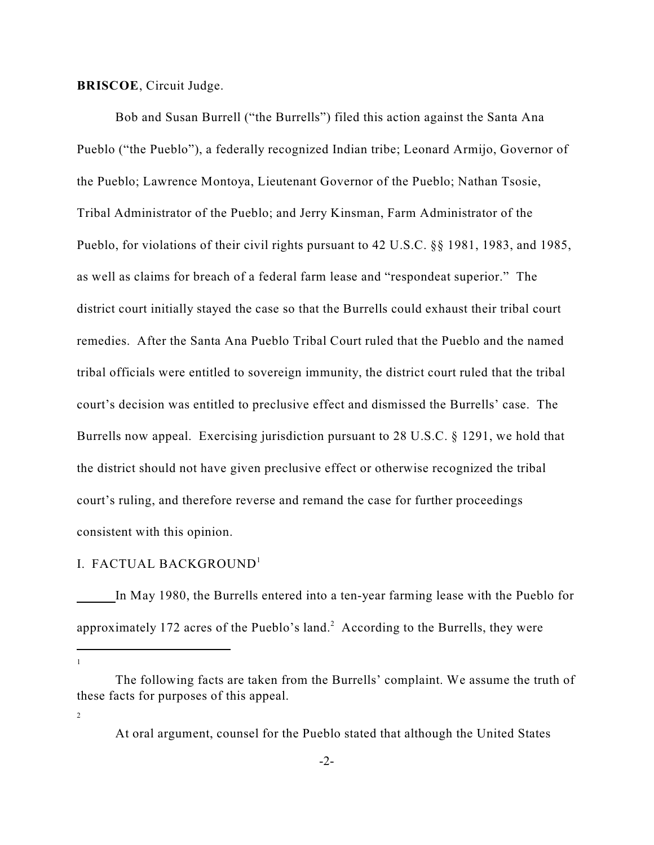**BRISCOE**, Circuit Judge.

Bob and Susan Burrell ("the Burrells") filed this action against the Santa Ana Pueblo ("the Pueblo"), a federally recognized Indian tribe; Leonard Armijo, Governor of the Pueblo; Lawrence Montoya, Lieutenant Governor of the Pueblo; Nathan Tsosie, Tribal Administrator of the Pueblo; and Jerry Kinsman, Farm Administrator of the Pueblo, for violations of their civil rights pursuant to 42 U.S.C. §§ 1981, 1983, and 1985, as well as claims for breach of a federal farm lease and "respondeat superior." The district court initially stayed the case so that the Burrells could exhaust their tribal court remedies. After the Santa Ana Pueblo Tribal Court ruled that the Pueblo and the named tribal officials were entitled to sovereign immunity, the district court ruled that the tribal court's decision was entitled to preclusive effect and dismissed the Burrells' case. The Burrells now appeal. Exercising jurisdiction pursuant to 28 U.S.C. § 1291, we hold that the district should not have given preclusive effect or otherwise recognized the tribal court's ruling, and therefore reverse and remand the case for further proceedings consistent with this opinion.

## I. FACTUAL BACKGROUND<sup>1</sup>

In May 1980, the Burrells entered into a ten-year farming lease with the Pueblo for approximately 172 acres of the Pueblo's land.<sup>2</sup> According to the Burrells, they were

1

2

The following facts are taken from the Burrells' complaint. We assume the truth of these facts for purposes of this appeal.

At oral argument, counsel for the Pueblo stated that although the United States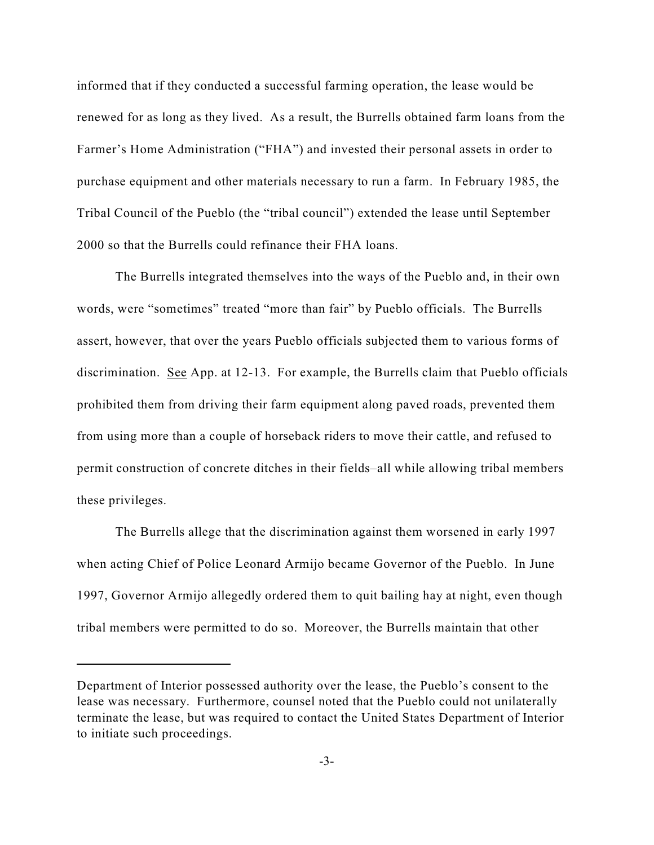informed that if they conducted a successful farming operation, the lease would be renewed for as long as they lived. As a result, the Burrells obtained farm loans from the Farmer's Home Administration ("FHA") and invested their personal assets in order to purchase equipment and other materials necessary to run a farm. In February 1985, the Tribal Council of the Pueblo (the "tribal council") extended the lease until September 2000 so that the Burrells could refinance their FHA loans.

The Burrells integrated themselves into the ways of the Pueblo and, in their own words, were "sometimes" treated "more than fair" by Pueblo officials. The Burrells assert, however, that over the years Pueblo officials subjected them to various forms of discrimination. See App. at 12-13. For example, the Burrells claim that Pueblo officials prohibited them from driving their farm equipment along paved roads, prevented them from using more than a couple of horseback riders to move their cattle, and refused to permit construction of concrete ditches in their fields–all while allowing tribal members these privileges.

The Burrells allege that the discrimination against them worsened in early 1997 when acting Chief of Police Leonard Armijo became Governor of the Pueblo. In June 1997, Governor Armijo allegedly ordered them to quit bailing hay at night, even though tribal members were permitted to do so. Moreover, the Burrells maintain that other

Department of Interior possessed authority over the lease, the Pueblo's consent to the lease was necessary. Furthermore, counsel noted that the Pueblo could not unilaterally terminate the lease, but was required to contact the United States Department of Interior to initiate such proceedings.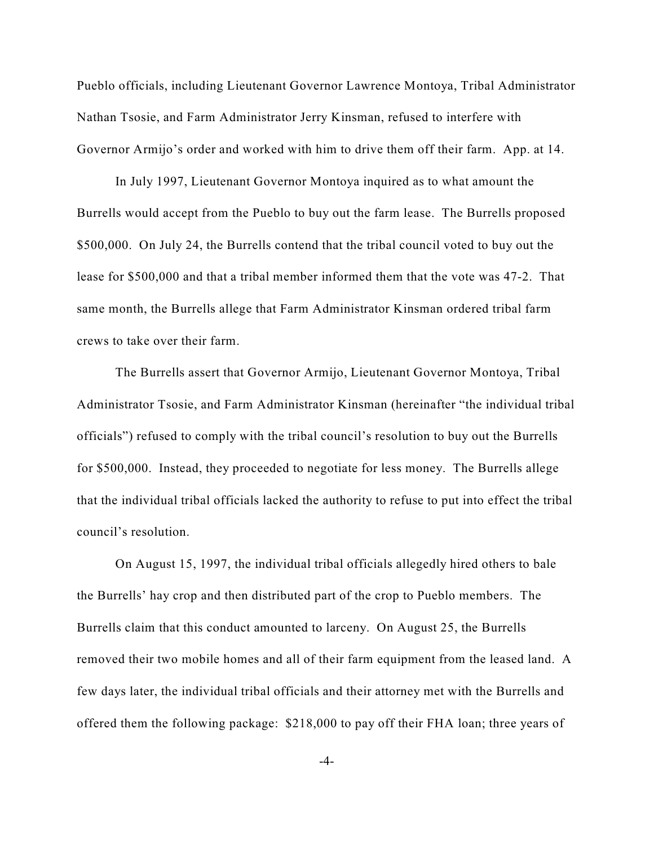Pueblo officials, including Lieutenant Governor Lawrence Montoya, Tribal Administrator Nathan Tsosie, and Farm Administrator Jerry Kinsman, refused to interfere with Governor Armijo's order and worked with him to drive them off their farm. App. at 14.

In July 1997, Lieutenant Governor Montoya inquired as to what amount the Burrells would accept from the Pueblo to buy out the farm lease. The Burrells proposed \$500,000. On July 24, the Burrells contend that the tribal council voted to buy out the lease for \$500,000 and that a tribal member informed them that the vote was 47-2. That same month, the Burrells allege that Farm Administrator Kinsman ordered tribal farm crews to take over their farm.

The Burrells assert that Governor Armijo, Lieutenant Governor Montoya, Tribal Administrator Tsosie, and Farm Administrator Kinsman (hereinafter "the individual tribal officials") refused to comply with the tribal council's resolution to buy out the Burrells for \$500,000. Instead, they proceeded to negotiate for less money. The Burrells allege that the individual tribal officials lacked the authority to refuse to put into effect the tribal council's resolution.

On August 15, 1997, the individual tribal officials allegedly hired others to bale the Burrells' hay crop and then distributed part of the crop to Pueblo members. The Burrells claim that this conduct amounted to larceny. On August 25, the Burrells removed their two mobile homes and all of their farm equipment from the leased land. A few days later, the individual tribal officials and their attorney met with the Burrells and offered them the following package: \$218,000 to pay off their FHA loan; three years of

-4-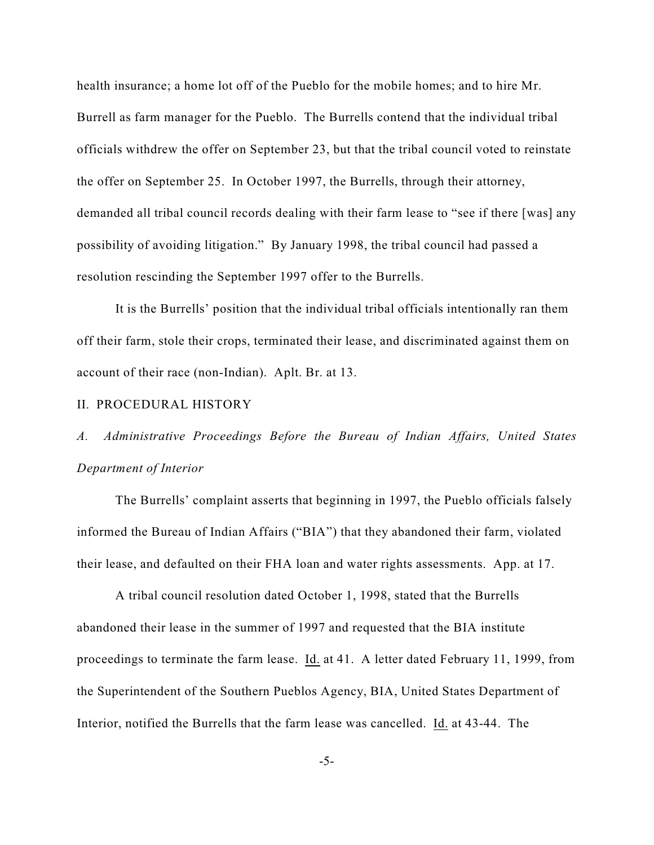health insurance; a home lot off of the Pueblo for the mobile homes; and to hire Mr. Burrell as farm manager for the Pueblo. The Burrells contend that the individual tribal officials withdrew the offer on September 23, but that the tribal council voted to reinstate the offer on September 25. In October 1997, the Burrells, through their attorney, demanded all tribal council records dealing with their farm lease to "see if there [was] any possibility of avoiding litigation." By January 1998, the tribal council had passed a resolution rescinding the September 1997 offer to the Burrells.

It is the Burrells' position that the individual tribal officials intentionally ran them off their farm, stole their crops, terminated their lease, and discriminated against them on account of their race (non-Indian). Aplt. Br. at 13.

### II. PROCEDURAL HISTORY

# *A. Administrative Proceedings Before the Bureau of Indian Affairs, United States Department of Interior*

The Burrells' complaint asserts that beginning in 1997, the Pueblo officials falsely informed the Bureau of Indian Affairs ("BIA") that they abandoned their farm, violated their lease, and defaulted on their FHA loan and water rights assessments. App. at 17.

A tribal council resolution dated October 1, 1998, stated that the Burrells abandoned their lease in the summer of 1997 and requested that the BIA institute proceedings to terminate the farm lease. Id. at 41. A letter dated February 11, 1999, from the Superintendent of the Southern Pueblos Agency, BIA, United States Department of Interior, notified the Burrells that the farm lease was cancelled. Id. at 43-44. The

-5-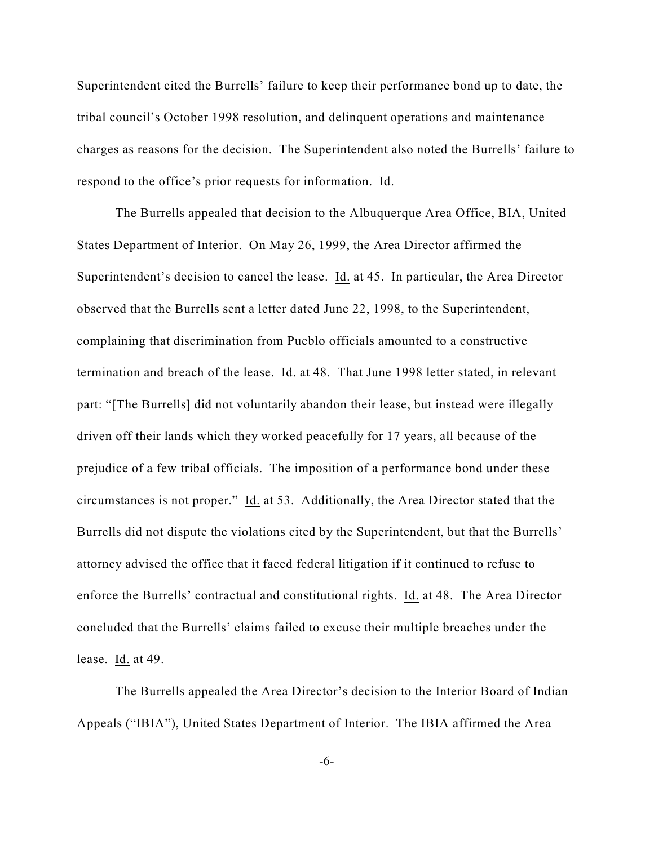Superintendent cited the Burrells' failure to keep their performance bond up to date, the tribal council's October 1998 resolution, and delinquent operations and maintenance charges as reasons for the decision. The Superintendent also noted the Burrells' failure to respond to the office's prior requests for information. Id.

The Burrells appealed that decision to the Albuquerque Area Office, BIA, United States Department of Interior. On May 26, 1999, the Area Director affirmed the Superintendent's decision to cancel the lease. Id. at 45. In particular, the Area Director observed that the Burrells sent a letter dated June 22, 1998, to the Superintendent, complaining that discrimination from Pueblo officials amounted to a constructive termination and breach of the lease. Id. at 48. That June 1998 letter stated, in relevant part: "[The Burrells] did not voluntarily abandon their lease, but instead were illegally driven off their lands which they worked peacefully for 17 years, all because of the prejudice of a few tribal officials. The imposition of a performance bond under these circumstances is not proper." Id. at 53. Additionally, the Area Director stated that the Burrells did not dispute the violations cited by the Superintendent, but that the Burrells' attorney advised the office that it faced federal litigation if it continued to refuse to enforce the Burrells' contractual and constitutional rights. Id. at 48. The Area Director concluded that the Burrells' claims failed to excuse their multiple breaches under the lease. Id. at 49.

The Burrells appealed the Area Director's decision to the Interior Board of Indian Appeals ("IBIA"), United States Department of Interior. The IBIA affirmed the Area

-6-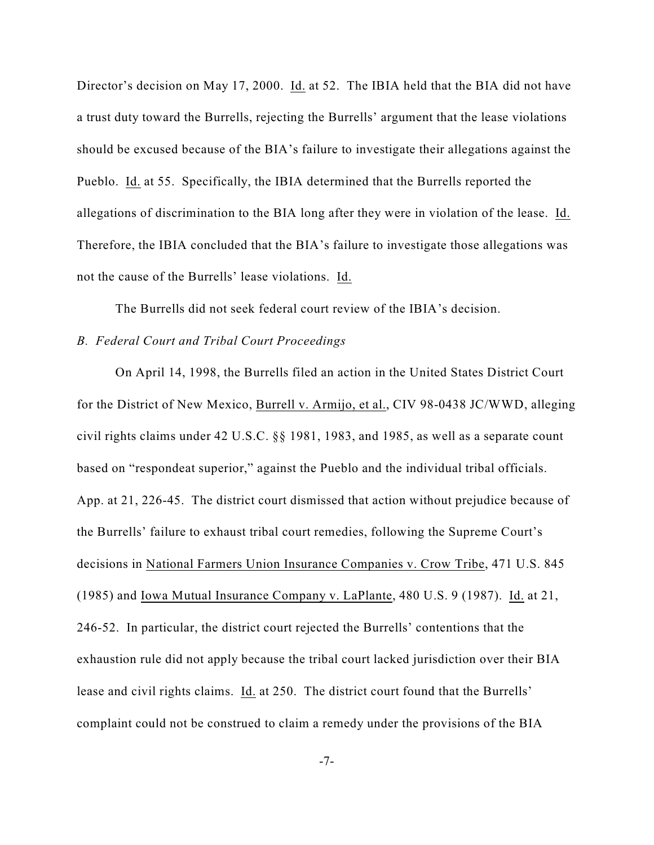Director's decision on May 17, 2000. Id. at 52. The IBIA held that the BIA did not have a trust duty toward the Burrells, rejecting the Burrells' argument that the lease violations should be excused because of the BIA's failure to investigate their allegations against the Pueblo. Id. at 55. Specifically, the IBIA determined that the Burrells reported the allegations of discrimination to the BIA long after they were in violation of the lease. Id. Therefore, the IBIA concluded that the BIA's failure to investigate those allegations was not the cause of the Burrells' lease violations. Id.

The Burrells did not seek federal court review of the IBIA's decision.

### *B. Federal Court and Tribal Court Proceedings*

On April 14, 1998, the Burrells filed an action in the United States District Court for the District of New Mexico, Burrell v. Armijo, et al., CIV 98-0438 JC/WWD, alleging civil rights claims under 42 U.S.C. §§ 1981, 1983, and 1985, as well as a separate count based on "respondeat superior," against the Pueblo and the individual tribal officials. App. at 21, 226-45. The district court dismissed that action without prejudice because of the Burrells' failure to exhaust tribal court remedies, following the Supreme Court's decisions in National Farmers Union Insurance Companies v. Crow Tribe, 471 U.S. 845 (1985) and Iowa Mutual Insurance Company v. LaPlante, 480 U.S. 9 (1987). Id. at 21, 246-52. In particular, the district court rejected the Burrells' contentions that the exhaustion rule did not apply because the tribal court lacked jurisdiction over their BIA lease and civil rights claims. Id. at 250. The district court found that the Burrells' complaint could not be construed to claim a remedy under the provisions of the BIA

-7-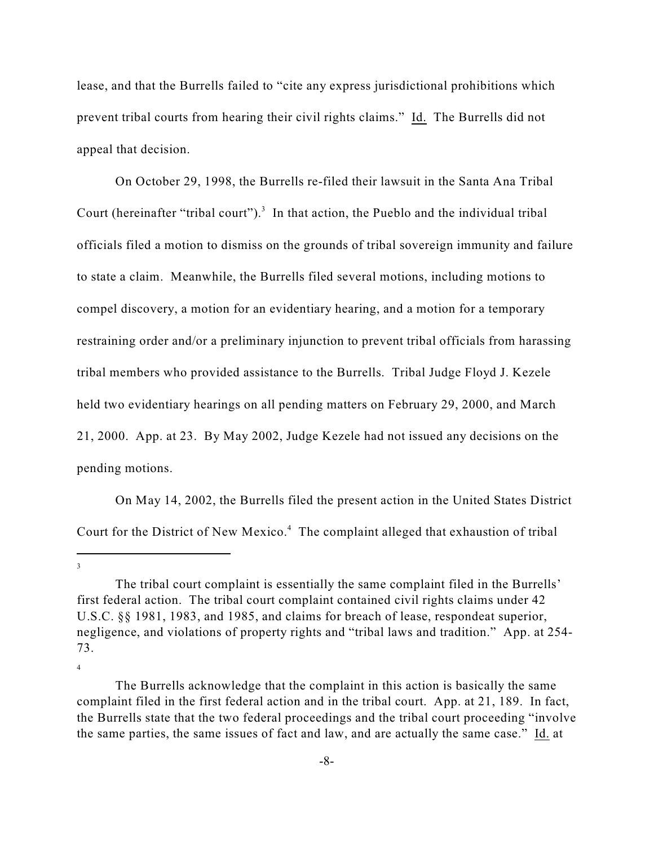lease, and that the Burrells failed to "cite any express jurisdictional prohibitions which prevent tribal courts from hearing their civil rights claims." Id. The Burrells did not appeal that decision.

On October 29, 1998, the Burrells re-filed their lawsuit in the Santa Ana Tribal Court (hereinafter "tribal court").<sup>3</sup> In that action, the Pueblo and the individual tribal officials filed a motion to dismiss on the grounds of tribal sovereign immunity and failure to state a claim. Meanwhile, the Burrells filed several motions, including motions to compel discovery, a motion for an evidentiary hearing, and a motion for a temporary restraining order and/or a preliminary injunction to prevent tribal officials from harassing tribal members who provided assistance to the Burrells. Tribal Judge Floyd J. Kezele held two evidentiary hearings on all pending matters on February 29, 2000, and March 21, 2000. App. at 23. By May 2002, Judge Kezele had not issued any decisions on the pending motions.

On May 14, 2002, the Burrells filed the present action in the United States District Court for the District of New Mexico.<sup>4</sup> The complaint alleged that exhaustion of tribal

<sup>3</sup>

The tribal court complaint is essentially the same complaint filed in the Burrells' first federal action. The tribal court complaint contained civil rights claims under 42 U.S.C. §§ 1981, 1983, and 1985, and claims for breach of lease, respondeat superior, negligence, and violations of property rights and "tribal laws and tradition." App. at 254- 73.

<sup>4</sup>

The Burrells acknowledge that the complaint in this action is basically the same complaint filed in the first federal action and in the tribal court. App. at 21, 189. In fact, the Burrells state that the two federal proceedings and the tribal court proceeding "involve the same parties, the same issues of fact and law, and are actually the same case." Id. at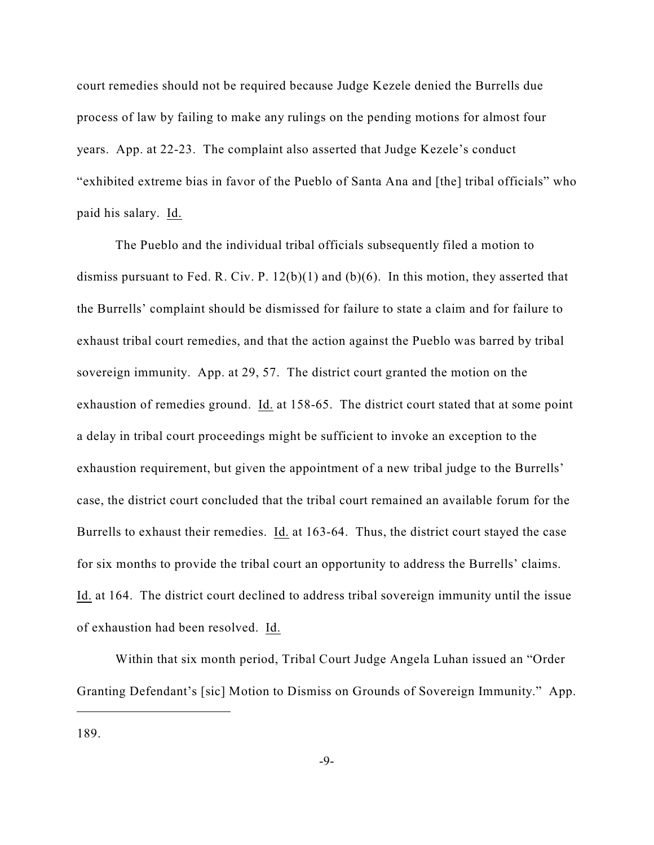court remedies should not be required because Judge Kezele denied the Burrells due process of law by failing to make any rulings on the pending motions for almost four years. App. at 22-23. The complaint also asserted that Judge Kezele's conduct "exhibited extreme bias in favor of the Pueblo of Santa Ana and [the] tribal officials" who paid his salary. Id.

The Pueblo and the individual tribal officials subsequently filed a motion to dismiss pursuant to Fed. R. Civ. P. 12(b)(1) and (b)(6). In this motion, they asserted that the Burrells' complaint should be dismissed for failure to state a claim and for failure to exhaust tribal court remedies, and that the action against the Pueblo was barred by tribal sovereign immunity. App. at 29, 57. The district court granted the motion on the exhaustion of remedies ground. Id. at 158-65. The district court stated that at some point a delay in tribal court proceedings might be sufficient to invoke an exception to the exhaustion requirement, but given the appointment of a new tribal judge to the Burrells' case, the district court concluded that the tribal court remained an available forum for the Burrells to exhaust their remedies. Id. at 163-64. Thus, the district court stayed the case for six months to provide the tribal court an opportunity to address the Burrells' claims. Id. at 164. The district court declined to address tribal sovereign immunity until the issue of exhaustion had been resolved. Id.

Within that six month period, Tribal Court Judge Angela Luhan issued an "Order Granting Defendant's [sic] Motion to Dismiss on Grounds of Sovereign Immunity." App.

189.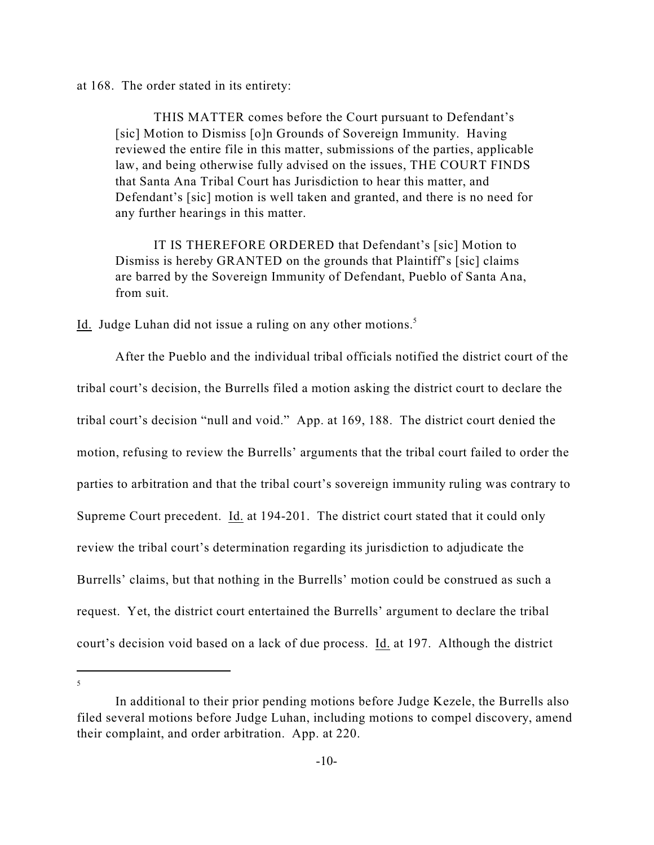at 168. The order stated in its entirety:

THIS MATTER comes before the Court pursuant to Defendant's [sic] Motion to Dismiss [o]n Grounds of Sovereign Immunity. Having reviewed the entire file in this matter, submissions of the parties, applicable law, and being otherwise fully advised on the issues, THE COURT FINDS that Santa Ana Tribal Court has Jurisdiction to hear this matter, and Defendant's [sic] motion is well taken and granted, and there is no need for any further hearings in this matter.

IT IS THEREFORE ORDERED that Defendant's [sic] Motion to Dismiss is hereby GRANTED on the grounds that Plaintiff's [sic] claims are barred by the Sovereign Immunity of Defendant, Pueblo of Santa Ana, from suit.

Id. Judge Luhan did not issue a ruling on any other motions.<sup>5</sup>

After the Pueblo and the individual tribal officials notified the district court of the tribal court's decision, the Burrells filed a motion asking the district court to declare the tribal court's decision "null and void." App. at 169, 188. The district court denied the motion, refusing to review the Burrells' arguments that the tribal court failed to order the parties to arbitration and that the tribal court's sovereign immunity ruling was contrary to Supreme Court precedent. Id. at 194-201. The district court stated that it could only review the tribal court's determination regarding its jurisdiction to adjudicate the Burrells' claims, but that nothing in the Burrells' motion could be construed as such a request. Yet, the district court entertained the Burrells' argument to declare the tribal court's decision void based on a lack of due process. Id. at 197. Although the district

<sup>5</sup>

In additional to their prior pending motions before Judge Kezele, the Burrells also filed several motions before Judge Luhan, including motions to compel discovery, amend their complaint, and order arbitration. App. at 220.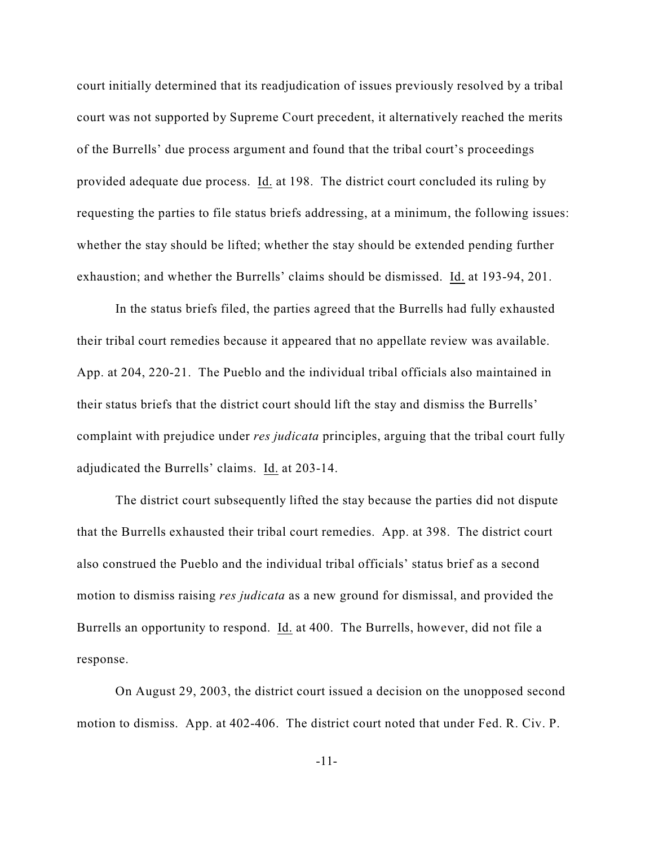court initially determined that its readjudication of issues previously resolved by a tribal court was not supported by Supreme Court precedent, it alternatively reached the merits of the Burrells' due process argument and found that the tribal court's proceedings provided adequate due process. Id. at 198. The district court concluded its ruling by requesting the parties to file status briefs addressing, at a minimum, the following issues: whether the stay should be lifted; whether the stay should be extended pending further exhaustion; and whether the Burrells' claims should be dismissed. Id. at 193-94, 201.

In the status briefs filed, the parties agreed that the Burrells had fully exhausted their tribal court remedies because it appeared that no appellate review was available. App. at 204, 220-21. The Pueblo and the individual tribal officials also maintained in their status briefs that the district court should lift the stay and dismiss the Burrells' complaint with prejudice under *res judicata* principles, arguing that the tribal court fully adjudicated the Burrells' claims. Id. at 203-14.

The district court subsequently lifted the stay because the parties did not dispute that the Burrells exhausted their tribal court remedies. App. at 398. The district court also construed the Pueblo and the individual tribal officials' status brief as a second motion to dismiss raising *res judicata* as a new ground for dismissal, and provided the Burrells an opportunity to respond. Id. at 400. The Burrells, however, did not file a response.

On August 29, 2003, the district court issued a decision on the unopposed second motion to dismiss. App. at 402-406. The district court noted that under Fed. R. Civ. P.

-11-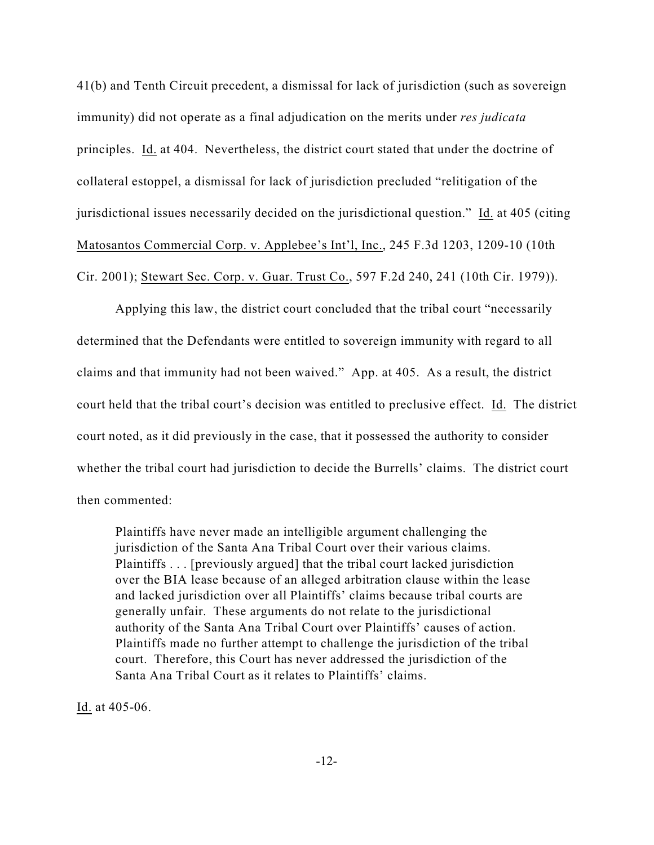41(b) and Tenth Circuit precedent, a dismissal for lack of jurisdiction (such as sovereign immunity) did not operate as a final adjudication on the merits under *res judicata* principles. Id. at 404. Nevertheless, the district court stated that under the doctrine of collateral estoppel, a dismissal for lack of jurisdiction precluded "relitigation of the jurisdictional issues necessarily decided on the jurisdictional question." Id. at 405 (citing Matosantos Commercial Corp. v. Applebee's Int'l, Inc., 245 F.3d 1203, 1209-10 (10th Cir. 2001); Stewart Sec. Corp. v. Guar. Trust Co., 597 F.2d 240, 241 (10th Cir. 1979)).

Applying this law, the district court concluded that the tribal court "necessarily determined that the Defendants were entitled to sovereign immunity with regard to all claims and that immunity had not been waived." App. at 405. As a result, the district court held that the tribal court's decision was entitled to preclusive effect. Id. The district court noted, as it did previously in the case, that it possessed the authority to consider whether the tribal court had jurisdiction to decide the Burrells' claims. The district court then commented:

Plaintiffs have never made an intelligible argument challenging the jurisdiction of the Santa Ana Tribal Court over their various claims. Plaintiffs . . . [previously argued] that the tribal court lacked jurisdiction over the BIA lease because of an alleged arbitration clause within the lease and lacked jurisdiction over all Plaintiffs' claims because tribal courts are generally unfair. These arguments do not relate to the jurisdictional authority of the Santa Ana Tribal Court over Plaintiffs' causes of action. Plaintiffs made no further attempt to challenge the jurisdiction of the tribal court. Therefore, this Court has never addressed the jurisdiction of the Santa Ana Tribal Court as it relates to Plaintiffs' claims.

Id. at 405-06.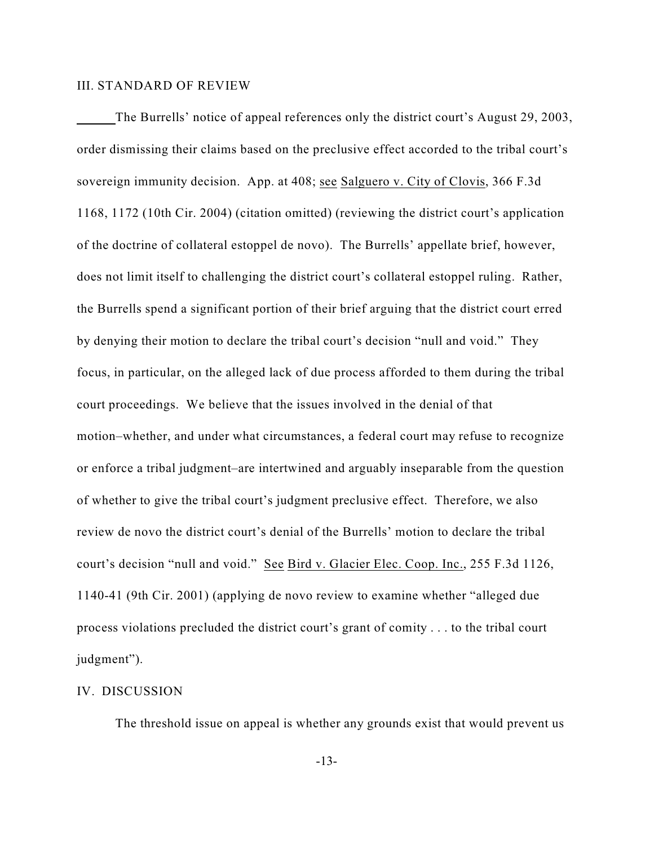### III. STANDARD OF REVIEW

The Burrells' notice of appeal references only the district court's August 29, 2003, order dismissing their claims based on the preclusive effect accorded to the tribal court's sovereign immunity decision. App. at 408; see Salguero v. City of Clovis, 366 F.3d 1168, 1172 (10th Cir. 2004) (citation omitted) (reviewing the district court's application of the doctrine of collateral estoppel de novo). The Burrells' appellate brief, however, does not limit itself to challenging the district court's collateral estoppel ruling. Rather, the Burrells spend a significant portion of their brief arguing that the district court erred by denying their motion to declare the tribal court's decision "null and void." They focus, in particular, on the alleged lack of due process afforded to them during the tribal court proceedings. We believe that the issues involved in the denial of that motion–whether, and under what circumstances, a federal court may refuse to recognize or enforce a tribal judgment–are intertwined and arguably inseparable from the question of whether to give the tribal court's judgment preclusive effect. Therefore, we also review de novo the district court's denial of the Burrells' motion to declare the tribal court's decision "null and void." See Bird v. Glacier Elec. Coop. Inc., 255 F.3d 1126, 1140-41 (9th Cir. 2001) (applying de novo review to examine whether "alleged due process violations precluded the district court's grant of comity . . . to the tribal court judgment").

### IV. DISCUSSION

The threshold issue on appeal is whether any grounds exist that would prevent us

-13-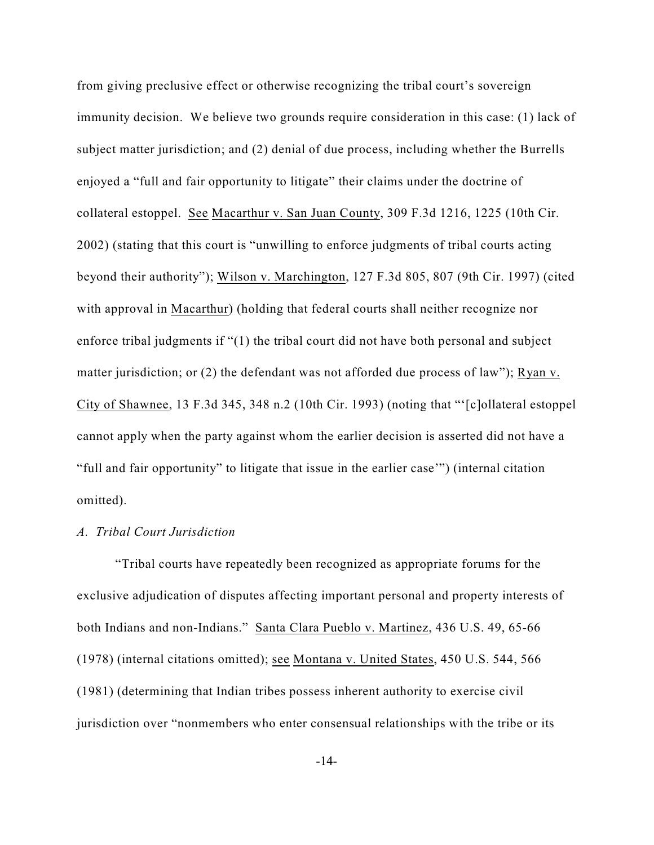from giving preclusive effect or otherwise recognizing the tribal court's sovereign immunity decision. We believe two grounds require consideration in this case: (1) lack of subject matter jurisdiction; and (2) denial of due process, including whether the Burrells enjoyed a "full and fair opportunity to litigate" their claims under the doctrine of collateral estoppel. See Macarthur v. San Juan County, 309 F.3d 1216, 1225 (10th Cir. 2002) (stating that this court is "unwilling to enforce judgments of tribal courts acting beyond their authority"); Wilson v. Marchington, 127 F.3d 805, 807 (9th Cir. 1997) (cited with approval in Macarthur) (holding that federal courts shall neither recognize nor enforce tribal judgments if "(1) the tribal court did not have both personal and subject matter jurisdiction; or (2) the defendant was not afforded due process of law"); Ryan v. City of Shawnee, 13 F.3d 345, 348 n.2 (10th Cir. 1993) (noting that "'[c]ollateral estoppel cannot apply when the party against whom the earlier decision is asserted did not have a "full and fair opportunity" to litigate that issue in the earlier case'") (internal citation omitted).

### *A. Tribal Court Jurisdiction*

"Tribal courts have repeatedly been recognized as appropriate forums for the exclusive adjudication of disputes affecting important personal and property interests of both Indians and non-Indians." Santa Clara Pueblo v. Martinez, 436 U.S. 49, 65-66 (1978) (internal citations omitted); see Montana v. United States, 450 U.S. 544, 566 (1981) (determining that Indian tribes possess inherent authority to exercise civil jurisdiction over "nonmembers who enter consensual relationships with the tribe or its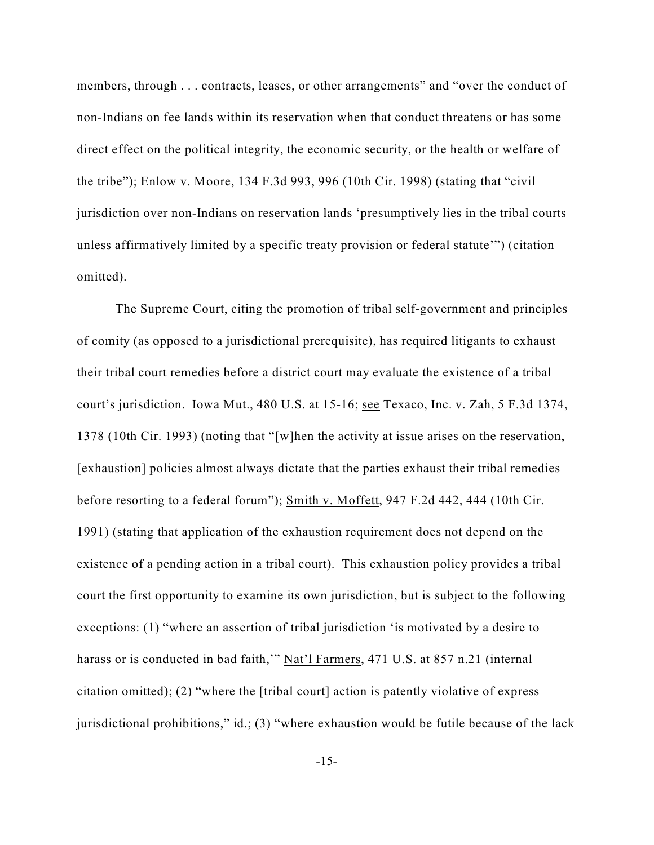members, through . . . contracts, leases, or other arrangements" and "over the conduct of non-Indians on fee lands within its reservation when that conduct threatens or has some direct effect on the political integrity, the economic security, or the health or welfare of the tribe"); Enlow v. Moore, 134 F.3d 993, 996 (10th Cir. 1998) (stating that "civil jurisdiction over non-Indians on reservation lands 'presumptively lies in the tribal courts unless affirmatively limited by a specific treaty provision or federal statute'") (citation omitted).

The Supreme Court, citing the promotion of tribal self-government and principles of comity (as opposed to a jurisdictional prerequisite), has required litigants to exhaust their tribal court remedies before a district court may evaluate the existence of a tribal court's jurisdiction. Iowa Mut., 480 U.S. at 15-16; see Texaco, Inc. v. Zah, 5 F.3d 1374, 1378 (10th Cir. 1993) (noting that "[w]hen the activity at issue arises on the reservation, [exhaustion] policies almost always dictate that the parties exhaust their tribal remedies before resorting to a federal forum"); Smith v. Moffett, 947 F.2d 442, 444 (10th Cir. 1991) (stating that application of the exhaustion requirement does not depend on the existence of a pending action in a tribal court). This exhaustion policy provides a tribal court the first opportunity to examine its own jurisdiction, but is subject to the following exceptions: (1) "where an assertion of tribal jurisdiction 'is motivated by a desire to harass or is conducted in bad faith,"" Nat'l Farmers, 471 U.S. at 857 n.21 (internal citation omitted); (2) "where the [tribal court] action is patently violative of express jurisdictional prohibitions," id.; (3) "where exhaustion would be futile because of the lack

-15-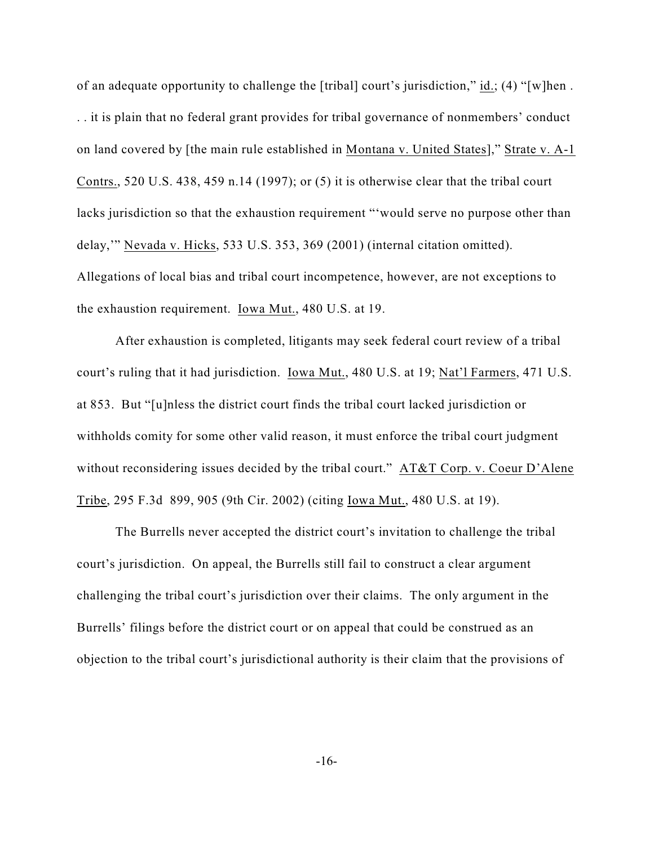of an adequate opportunity to challenge the [tribal] court's jurisdiction," id.; (4) "[w]hen . . . it is plain that no federal grant provides for tribal governance of nonmembers' conduct on land covered by [the main rule established in Montana v. United States]," Strate v. A-1 Contrs., 520 U.S. 438, 459 n.14 (1997); or (5) it is otherwise clear that the tribal court lacks jurisdiction so that the exhaustion requirement "'would serve no purpose other than delay,'" Nevada v. Hicks, 533 U.S. 353, 369 (2001) (internal citation omitted). Allegations of local bias and tribal court incompetence, however, are not exceptions to the exhaustion requirement. Iowa Mut., 480 U.S. at 19.

After exhaustion is completed, litigants may seek federal court review of a tribal court's ruling that it had jurisdiction. Iowa Mut., 480 U.S. at 19; Nat'l Farmers, 471 U.S. at 853. But "[u]nless the district court finds the tribal court lacked jurisdiction or withholds comity for some other valid reason, it must enforce the tribal court judgment without reconsidering issues decided by the tribal court." AT&T Corp. v. Coeur D'Alene Tribe, 295 F.3d 899, 905 (9th Cir. 2002) (citing Iowa Mut., 480 U.S. at 19).

The Burrells never accepted the district court's invitation to challenge the tribal court's jurisdiction. On appeal, the Burrells still fail to construct a clear argument challenging the tribal court's jurisdiction over their claims. The only argument in the Burrells' filings before the district court or on appeal that could be construed as an objection to the tribal court's jurisdictional authority is their claim that the provisions of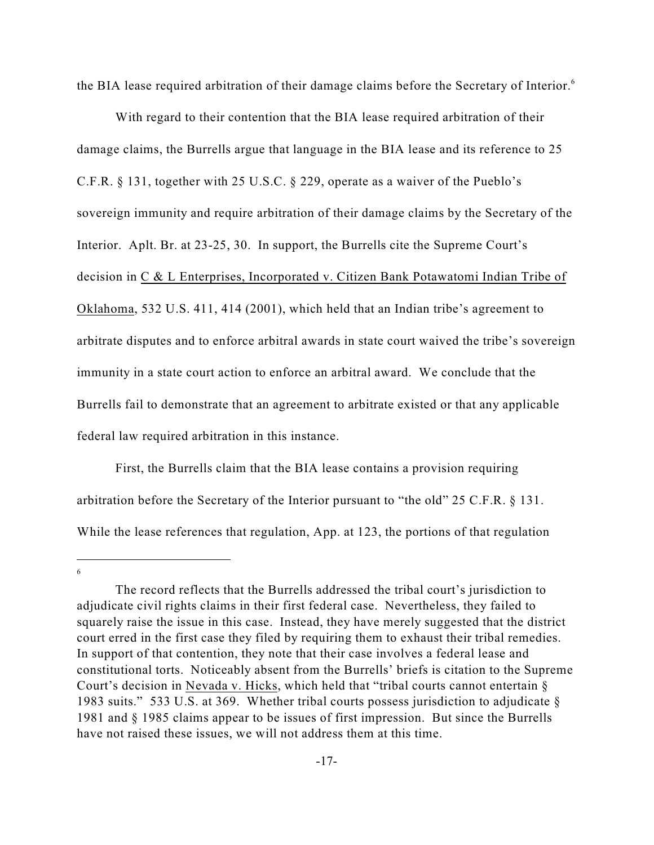the BIA lease required arbitration of their damage claims before the Secretary of Interior.<sup>6</sup>

With regard to their contention that the BIA lease required arbitration of their damage claims, the Burrells argue that language in the BIA lease and its reference to 25 C.F.R. § 131, together with 25 U.S.C. § 229, operate as a waiver of the Pueblo's sovereign immunity and require arbitration of their damage claims by the Secretary of the Interior. Aplt. Br. at 23-25, 30. In support, the Burrells cite the Supreme Court's decision in C & L Enterprises, Incorporated v. Citizen Bank Potawatomi Indian Tribe of Oklahoma, 532 U.S. 411, 414 (2001), which held that an Indian tribe's agreement to arbitrate disputes and to enforce arbitral awards in state court waived the tribe's sovereign immunity in a state court action to enforce an arbitral award. We conclude that the Burrells fail to demonstrate that an agreement to arbitrate existed or that any applicable federal law required arbitration in this instance.

First, the Burrells claim that the BIA lease contains a provision requiring arbitration before the Secretary of the Interior pursuant to "the old" 25 C.F.R. § 131. While the lease references that regulation, App. at 123, the portions of that regulation

6

The record reflects that the Burrells addressed the tribal court's jurisdiction to adjudicate civil rights claims in their first federal case. Nevertheless, they failed to squarely raise the issue in this case. Instead, they have merely suggested that the district court erred in the first case they filed by requiring them to exhaust their tribal remedies. In support of that contention, they note that their case involves a federal lease and constitutional torts. Noticeably absent from the Burrells' briefs is citation to the Supreme Court's decision in Nevada v. Hicks, which held that "tribal courts cannot entertain § 1983 suits." 533 U.S. at 369. Whether tribal courts possess jurisdiction to adjudicate  $\S$ 1981 and § 1985 claims appear to be issues of first impression. But since the Burrells have not raised these issues, we will not address them at this time.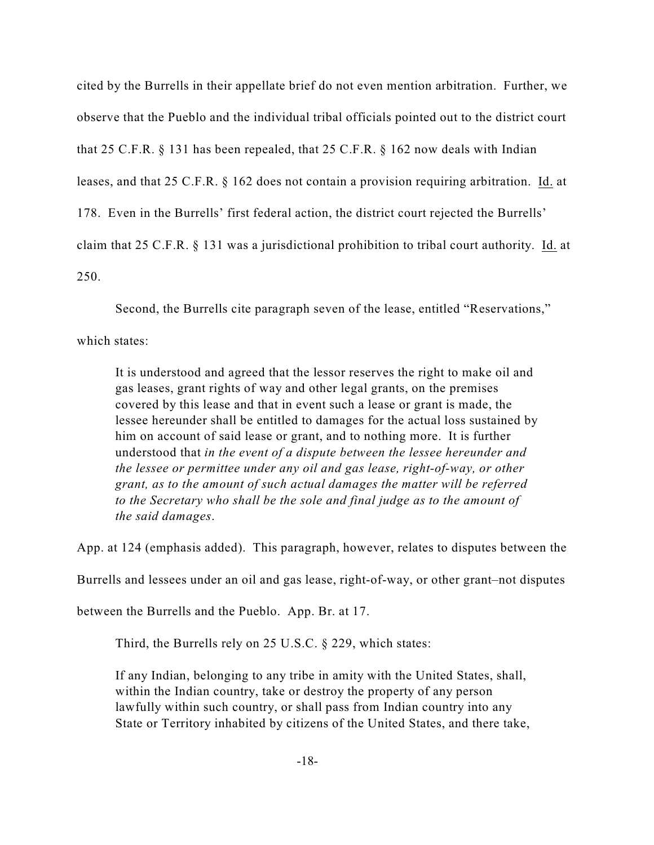cited by the Burrells in their appellate brief do not even mention arbitration. Further, we observe that the Pueblo and the individual tribal officials pointed out to the district court that 25 C.F.R. § 131 has been repealed, that 25 C.F.R. § 162 now deals with Indian leases, and that 25 C.F.R. § 162 does not contain a provision requiring arbitration. Id. at 178. Even in the Burrells' first federal action, the district court rejected the Burrells' claim that 25 C.F.R. § 131 was a jurisdictional prohibition to tribal court authority. Id. at 250.

Second, the Burrells cite paragraph seven of the lease, entitled "Reservations,"

which states:

It is understood and agreed that the lessor reserves the right to make oil and gas leases, grant rights of way and other legal grants, on the premises covered by this lease and that in event such a lease or grant is made, the lessee hereunder shall be entitled to damages for the actual loss sustained by him on account of said lease or grant, and to nothing more. It is further understood that *in the event of a dispute between the lessee hereunder and the lessee or permittee under any oil and gas lease, right-of-way, or other grant, as to the amount of such actual damages the matter will be referred to the Secretary who shall be the sole and final judge as to the amount of the said damages*.

App. at 124 (emphasis added). This paragraph, however, relates to disputes between the

Burrells and lessees under an oil and gas lease, right-of-way, or other grant–not disputes

between the Burrells and the Pueblo. App. Br. at 17.

Third, the Burrells rely on 25 U.S.C. § 229, which states:

If any Indian, belonging to any tribe in amity with the United States, shall, within the Indian country, take or destroy the property of any person lawfully within such country, or shall pass from Indian country into any State or Territory inhabited by citizens of the United States, and there take,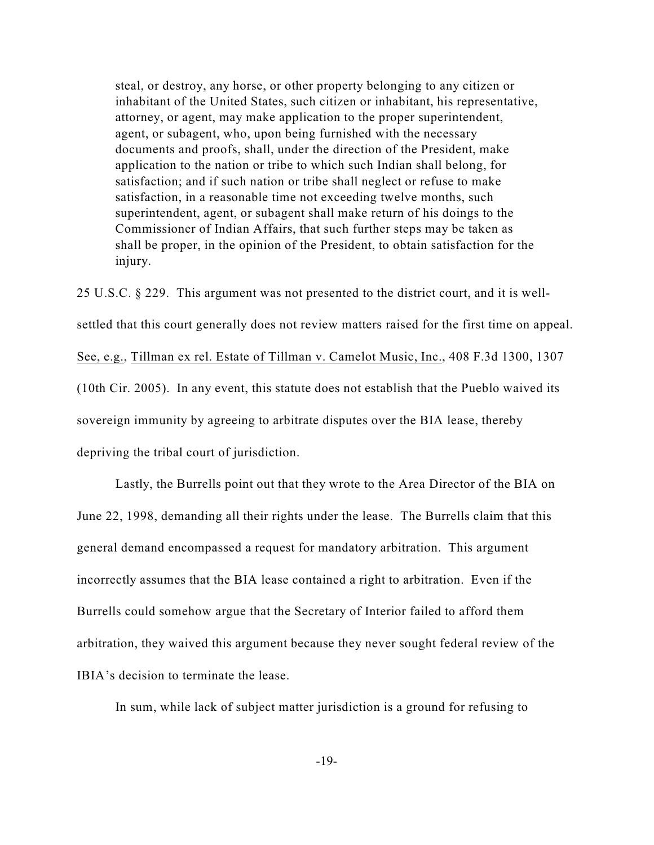steal, or destroy, any horse, or other property belonging to any citizen or inhabitant of the United States, such citizen or inhabitant, his representative, attorney, or agent, may make application to the proper superintendent, agent, or subagent, who, upon being furnished with the necessary documents and proofs, shall, under the direction of the President, make application to the nation or tribe to which such Indian shall belong, for satisfaction; and if such nation or tribe shall neglect or refuse to make satisfaction, in a reasonable time not exceeding twelve months, such superintendent, agent, or subagent shall make return of his doings to the Commissioner of Indian Affairs, that such further steps may be taken as shall be proper, in the opinion of the President, to obtain satisfaction for the injury.

25 U.S.C. § 229. This argument was not presented to the district court, and it is wellsettled that this court generally does not review matters raised for the first time on appeal. See, e.g., Tillman ex rel. Estate of Tillman v. Camelot Music, Inc., 408 F.3d 1300, 1307 (10th Cir. 2005). In any event, this statute does not establish that the Pueblo waived its sovereign immunity by agreeing to arbitrate disputes over the BIA lease, thereby depriving the tribal court of jurisdiction.

Lastly, the Burrells point out that they wrote to the Area Director of the BIA on June 22, 1998, demanding all their rights under the lease. The Burrells claim that this general demand encompassed a request for mandatory arbitration. This argument incorrectly assumes that the BIA lease contained a right to arbitration. Even if the Burrells could somehow argue that the Secretary of Interior failed to afford them arbitration, they waived this argument because they never sought federal review of the IBIA's decision to terminate the lease.

In sum, while lack of subject matter jurisdiction is a ground for refusing to

-19-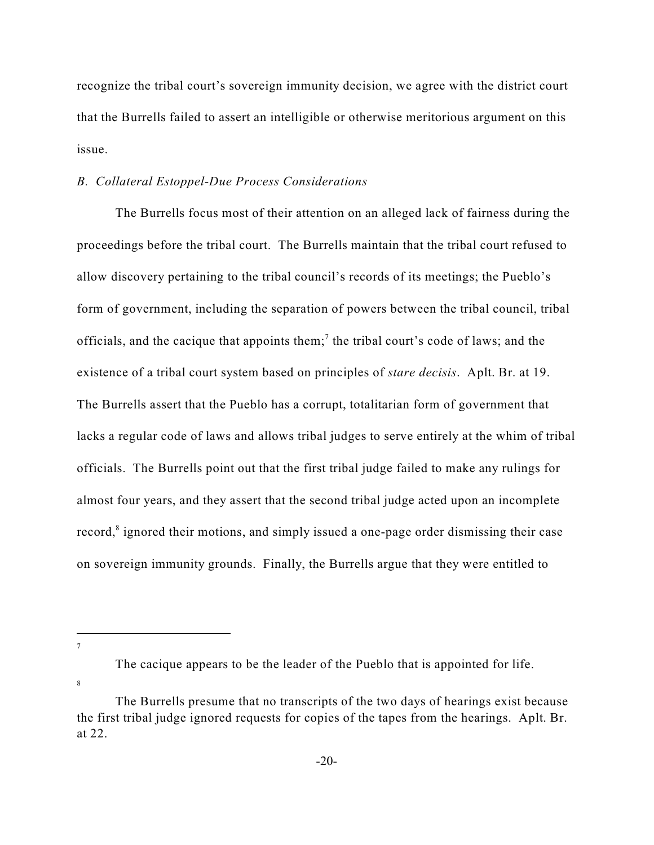recognize the tribal court's sovereign immunity decision, we agree with the district court that the Burrells failed to assert an intelligible or otherwise meritorious argument on this issue.

### *B. Collateral Estoppel-Due Process Considerations*

The Burrells focus most of their attention on an alleged lack of fairness during the proceedings before the tribal court. The Burrells maintain that the tribal court refused to allow discovery pertaining to the tribal council's records of its meetings; the Pueblo's form of government, including the separation of powers between the tribal council, tribal officials, and the cacique that appoints them;<sup>7</sup> the tribal court's code of laws; and the existence of a tribal court system based on principles of *stare decisis*. Aplt. Br. at 19. The Burrells assert that the Pueblo has a corrupt, totalitarian form of government that lacks a regular code of laws and allows tribal judges to serve entirely at the whim of tribal officials. The Burrells point out that the first tribal judge failed to make any rulings for almost four years, and they assert that the second tribal judge acted upon an incomplete record,<sup>8</sup> ignored their motions, and simply issued a one-page order dismissing their case on sovereign immunity grounds. Finally, the Burrells argue that they were entitled to

7

8

The cacique appears to be the leader of the Pueblo that is appointed for life.

The Burrells presume that no transcripts of the two days of hearings exist because the first tribal judge ignored requests for copies of the tapes from the hearings. Aplt. Br. at 22.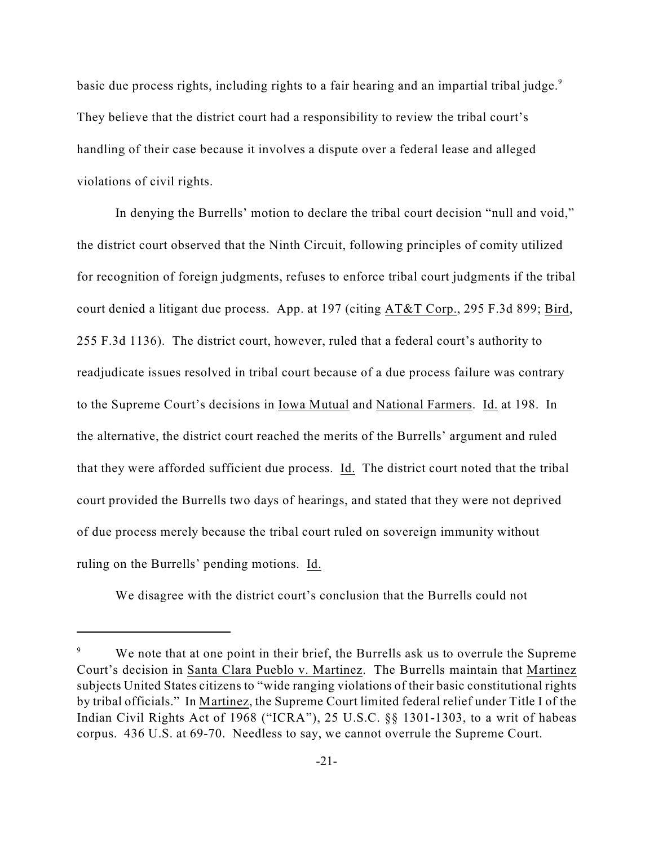basic due process rights, including rights to a fair hearing and an impartial tribal judge.<sup>9</sup> They believe that the district court had a responsibility to review the tribal court's handling of their case because it involves a dispute over a federal lease and alleged violations of civil rights.

In denying the Burrells' motion to declare the tribal court decision "null and void," the district court observed that the Ninth Circuit, following principles of comity utilized for recognition of foreign judgments, refuses to enforce tribal court judgments if the tribal court denied a litigant due process. App. at 197 (citing AT&T Corp., 295 F.3d 899; Bird, 255 F.3d 1136). The district court, however, ruled that a federal court's authority to readjudicate issues resolved in tribal court because of a due process failure was contrary to the Supreme Court's decisions in Iowa Mutual and National Farmers. Id. at 198. In the alternative, the district court reached the merits of the Burrells' argument and ruled that they were afforded sufficient due process. Id. The district court noted that the tribal court provided the Burrells two days of hearings, and stated that they were not deprived of due process merely because the tribal court ruled on sovereign immunity without ruling on the Burrells' pending motions. Id.

We disagree with the district court's conclusion that the Burrells could not

We note that at one point in their brief, the Burrells ask us to overrule the Supreme Court's decision in Santa Clara Pueblo v. Martinez. The Burrells maintain that Martinez subjects United States citizens to "wide ranging violations of their basic constitutional rights by tribal officials." In Martinez, the Supreme Court limited federal relief under Title I of the Indian Civil Rights Act of 1968 ("ICRA"), 25 U.S.C. §§ 1301-1303, to a writ of habeas corpus. 436 U.S. at 69-70. Needless to say, we cannot overrule the Supreme Court.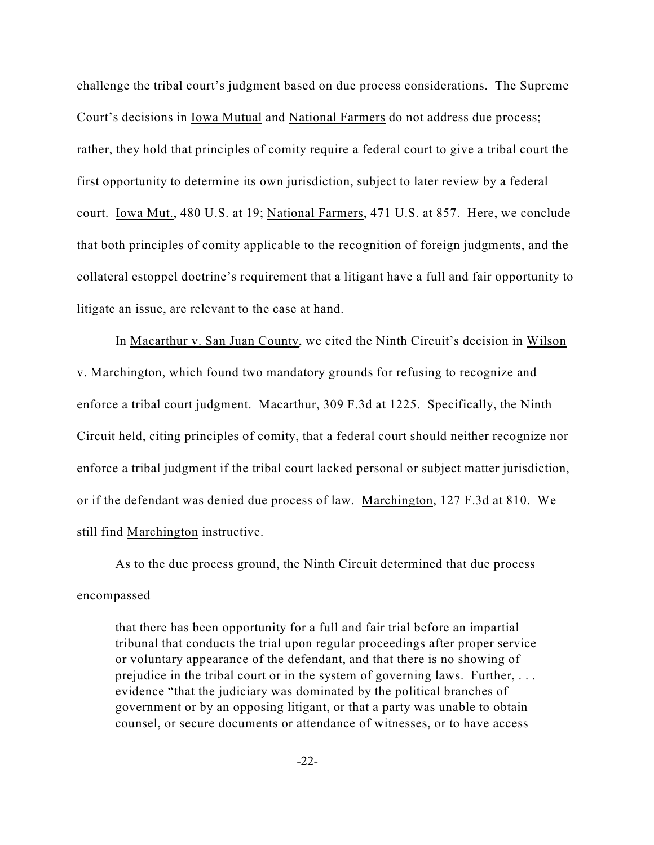challenge the tribal court's judgment based on due process considerations. The Supreme Court's decisions in Iowa Mutual and National Farmers do not address due process; rather, they hold that principles of comity require a federal court to give a tribal court the first opportunity to determine its own jurisdiction, subject to later review by a federal court. Iowa Mut., 480 U.S. at 19; National Farmers, 471 U.S. at 857. Here, we conclude that both principles of comity applicable to the recognition of foreign judgments, and the collateral estoppel doctrine's requirement that a litigant have a full and fair opportunity to litigate an issue, are relevant to the case at hand.

In Macarthur v. San Juan County, we cited the Ninth Circuit's decision in Wilson v. Marchington, which found two mandatory grounds for refusing to recognize and enforce a tribal court judgment. Macarthur, 309 F.3d at 1225. Specifically, the Ninth Circuit held, citing principles of comity, that a federal court should neither recognize nor enforce a tribal judgment if the tribal court lacked personal or subject matter jurisdiction, or if the defendant was denied due process of law. Marchington, 127 F.3d at 810. We still find Marchington instructive.

As to the due process ground, the Ninth Circuit determined that due process encompassed

that there has been opportunity for a full and fair trial before an impartial tribunal that conducts the trial upon regular proceedings after proper service or voluntary appearance of the defendant, and that there is no showing of prejudice in the tribal court or in the system of governing laws. Further, . . . evidence "that the judiciary was dominated by the political branches of government or by an opposing litigant, or that a party was unable to obtain counsel, or secure documents or attendance of witnesses, or to have access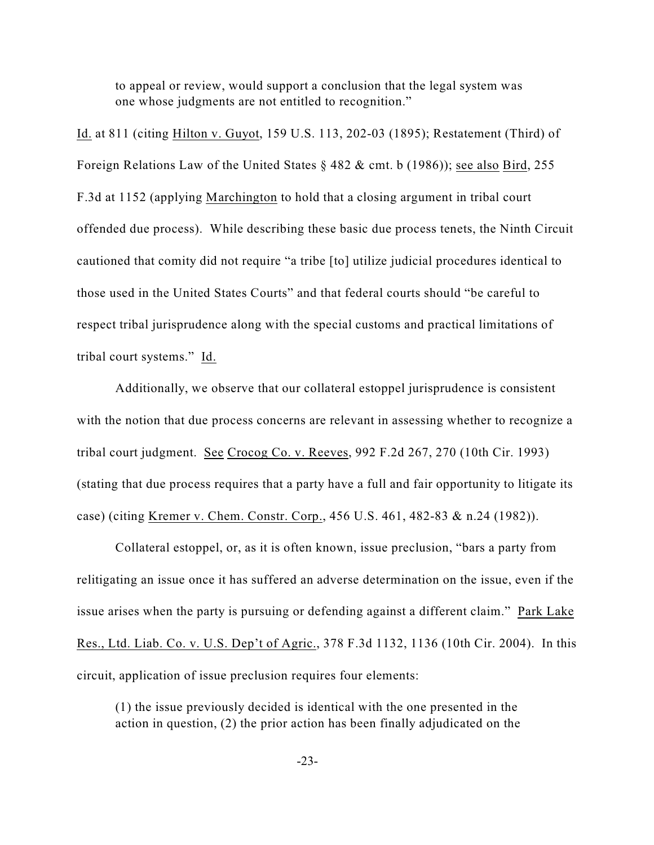to appeal or review, would support a conclusion that the legal system was one whose judgments are not entitled to recognition."

Id. at 811 (citing Hilton v. Guyot, 159 U.S. 113, 202-03 (1895); Restatement (Third) of Foreign Relations Law of the United States § 482 & cmt. b (1986)); see also Bird, 255 F.3d at 1152 (applying Marchington to hold that a closing argument in tribal court offended due process). While describing these basic due process tenets, the Ninth Circuit cautioned that comity did not require "a tribe [to] utilize judicial procedures identical to those used in the United States Courts" and that federal courts should "be careful to respect tribal jurisprudence along with the special customs and practical limitations of tribal court systems." Id.

Additionally, we observe that our collateral estoppel jurisprudence is consistent with the notion that due process concerns are relevant in assessing whether to recognize a tribal court judgment. See Crocog Co. v. Reeves, 992 F.2d 267, 270 (10th Cir. 1993) (stating that due process requires that a party have a full and fair opportunity to litigate its case) (citing Kremer v. Chem. Constr. Corp., 456 U.S. 461, 482-83 & n.24 (1982)).

Collateral estoppel, or, as it is often known, issue preclusion, "bars a party from relitigating an issue once it has suffered an adverse determination on the issue, even if the issue arises when the party is pursuing or defending against a different claim." Park Lake Res., Ltd. Liab. Co. v. U.S. Dep't of Agric., 378 F.3d 1132, 1136 (10th Cir. 2004). In this circuit, application of issue preclusion requires four elements:

(1) the issue previously decided is identical with the one presented in the action in question, (2) the prior action has been finally adjudicated on the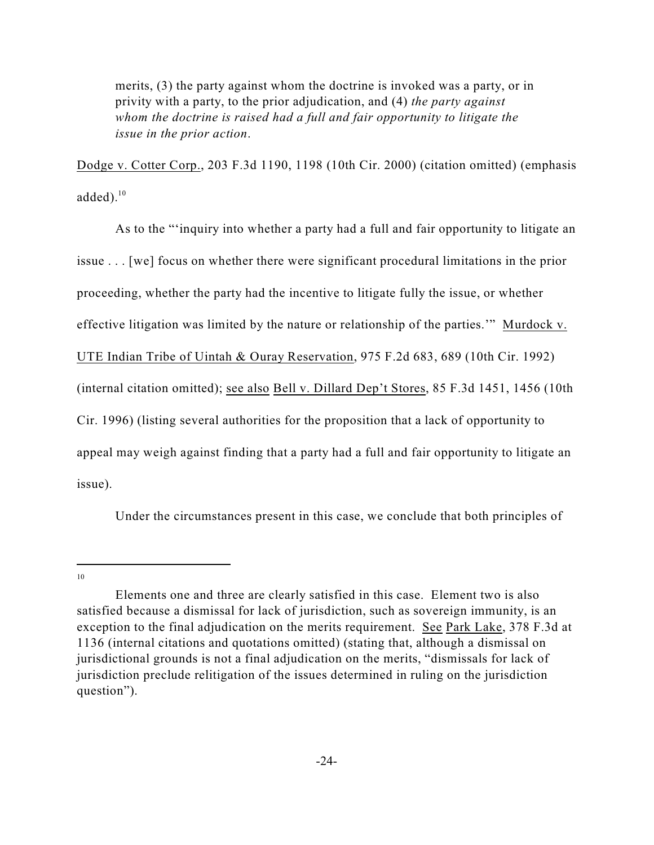merits, (3) the party against whom the doctrine is invoked was a party, or in privity with a party, to the prior adjudication, and (4) *the party against whom the doctrine is raised had a full and fair opportunity to litigate the issue in the prior action*.

Dodge v. Cotter Corp., 203 F.3d 1190, 1198 (10th Cir. 2000) (citation omitted) (emphasis added). $10$ 

As to the "'inquiry into whether a party had a full and fair opportunity to litigate an issue . . . [we] focus on whether there were significant procedural limitations in the prior proceeding, whether the party had the incentive to litigate fully the issue, or whether effective litigation was limited by the nature or relationship of the parties.'"Murdock v. UTE Indian Tribe of Uintah & Ouray Reservation, 975 F.2d 683, 689 (10th Cir. 1992) (internal citation omitted); see also Bell v. Dillard Dep't Stores, 85 F.3d 1451, 1456 (10th Cir. 1996) (listing several authorities for the proposition that a lack of opportunity to appeal may weigh against finding that a party had a full and fair opportunity to litigate an issue).

Under the circumstances present in this case, we conclude that both principles of

<sup>10</sup>

Elements one and three are clearly satisfied in this case. Element two is also satisfied because a dismissal for lack of jurisdiction, such as sovereign immunity, is an exception to the final adjudication on the merits requirement. See Park Lake, 378 F.3d at 1136 (internal citations and quotations omitted) (stating that, although a dismissal on jurisdictional grounds is not a final adjudication on the merits, "dismissals for lack of jurisdiction preclude relitigation of the issues determined in ruling on the jurisdiction question").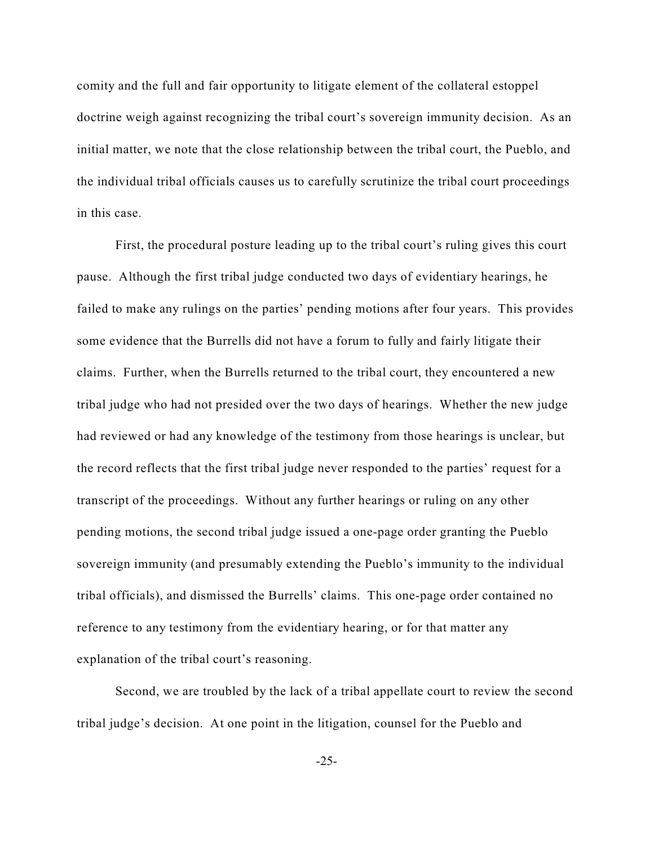comity and the full and fair opportunity to litigate element of the collateral estoppel doctrine weigh against recognizing the tribal court's sovereign immunity decision. As an initial matter, we note that the close relationship between the tribal court, the Pueblo, and the individual tribal officials causes us to carefully scrutinize the tribal court proceedings in this case.

First, the procedural posture leading up to the tribal court's ruling gives this court pause. Although the first tribal judge conducted two days of evidentiary hearings, he failed to make any rulings on the parties' pending motions after four years. This provides some evidence that the Burrells did not have a forum to fully and fairly litigate their claims. Further, when the Burrells returned to the tribal court, they encountered a new tribal judge who had not presided over the two days of hearings. Whether the new judge had reviewed or had any knowledge of the testimony from those hearings is unclear, but the record reflects that the first tribal judge never responded to the parties' request for a transcript of the proceedings. Without any further hearings or ruling on any other pending motions, the second tribal judge issued a one-page order granting the Pueblo sovereign immunity (and presumably extending the Pueblo's immunity to the individual tribal officials), and dismissed the Burrells' claims. This one-page order contained no reference to any testimony from the evidentiary hearing, or for that matter any explanation of the tribal court's reasoning.

Second, we are troubled by the lack of a tribal appellate court to review the second tribal judge's decision. At one point in the litigation, counsel for the Pueblo and

-25-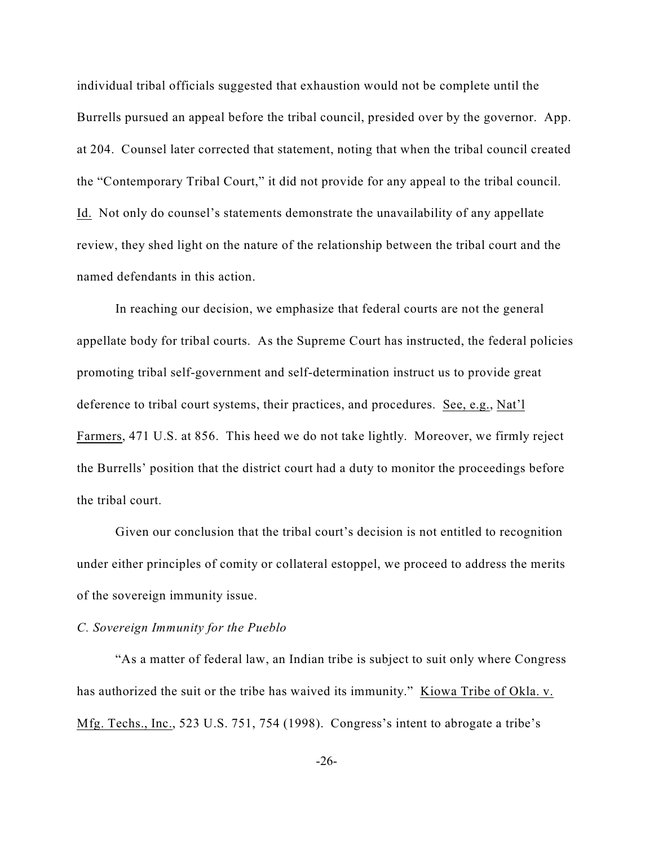individual tribal officials suggested that exhaustion would not be complete until the Burrells pursued an appeal before the tribal council, presided over by the governor. App. at 204. Counsel later corrected that statement, noting that when the tribal council created the "Contemporary Tribal Court," it did not provide for any appeal to the tribal council. Id. Not only do counsel's statements demonstrate the unavailability of any appellate review, they shed light on the nature of the relationship between the tribal court and the named defendants in this action.

In reaching our decision, we emphasize that federal courts are not the general appellate body for tribal courts. As the Supreme Court has instructed, the federal policies promoting tribal self-government and self-determination instruct us to provide great deference to tribal court systems, their practices, and procedures. See, e.g., Nat'l Farmers, 471 U.S. at 856. This heed we do not take lightly. Moreover, we firmly reject the Burrells' position that the district court had a duty to monitor the proceedings before the tribal court.

Given our conclusion that the tribal court's decision is not entitled to recognition under either principles of comity or collateral estoppel, we proceed to address the merits of the sovereign immunity issue.

## *C. Sovereign Immunity for the Pueblo*

"As a matter of federal law, an Indian tribe is subject to suit only where Congress has authorized the suit or the tribe has waived its immunity." Kiowa Tribe of Okla. v. Mfg. Techs., Inc., 523 U.S. 751, 754 (1998). Congress's intent to abrogate a tribe's

-26-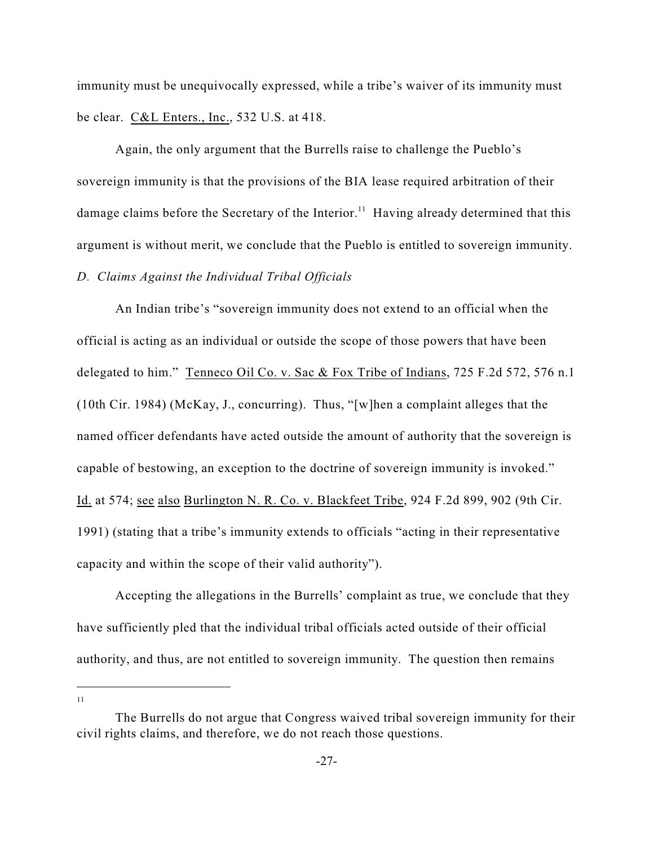immunity must be unequivocally expressed, while a tribe's waiver of its immunity must be clear. C&L Enters., Inc., 532 U.S. at 418.

Again, the only argument that the Burrells raise to challenge the Pueblo's sovereign immunity is that the provisions of the BIA lease required arbitration of their damage claims before the Secretary of the Interior.<sup>11</sup> Having already determined that this argument is without merit, we conclude that the Pueblo is entitled to sovereign immunity.

### *D. Claims Against the Individual Tribal Officials*

An Indian tribe's "sovereign immunity does not extend to an official when the official is acting as an individual or outside the scope of those powers that have been delegated to him." Tenneco Oil Co. v. Sac & Fox Tribe of Indians, 725 F.2d 572, 576 n.1 (10th Cir. 1984) (McKay, J., concurring). Thus, "[w]hen a complaint alleges that the named officer defendants have acted outside the amount of authority that the sovereign is capable of bestowing, an exception to the doctrine of sovereign immunity is invoked." Id. at 574; see also Burlington N. R. Co. v. Blackfeet Tribe, 924 F.2d 899, 902 (9th Cir. 1991) (stating that a tribe's immunity extends to officials "acting in their representative capacity and within the scope of their valid authority").

Accepting the allegations in the Burrells' complaint as true, we conclude that they have sufficiently pled that the individual tribal officials acted outside of their official authority, and thus, are not entitled to sovereign immunity. The question then remains

11

The Burrells do not argue that Congress waived tribal sovereign immunity for their civil rights claims, and therefore, we do not reach those questions.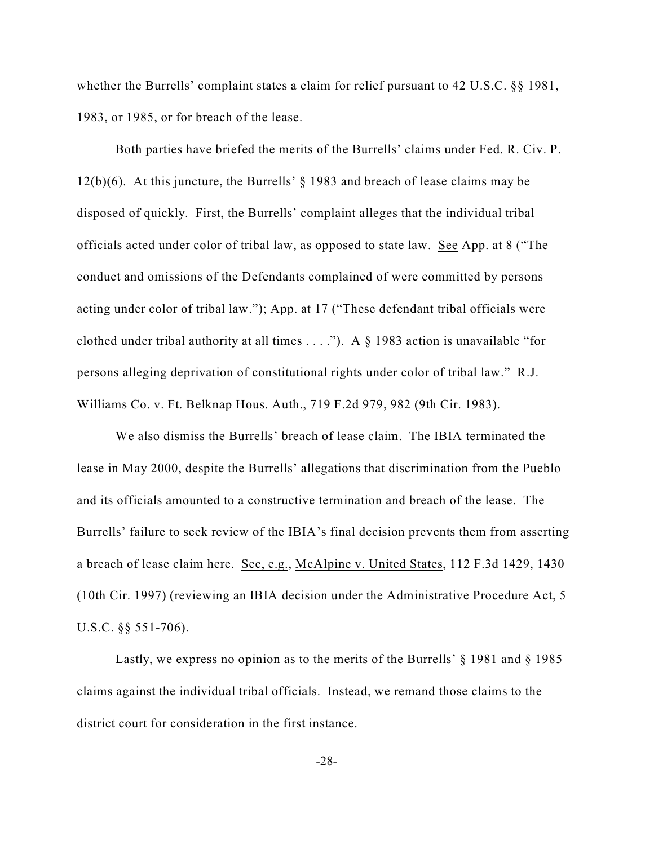whether the Burrells' complaint states a claim for relief pursuant to 42 U.S.C. §§ 1981, 1983, or 1985, or for breach of the lease.

Both parties have briefed the merits of the Burrells' claims under Fed. R. Civ. P. 12(b)(6). At this juncture, the Burrells' § 1983 and breach of lease claims may be disposed of quickly. First, the Burrells' complaint alleges that the individual tribal officials acted under color of tribal law, as opposed to state law. See App. at 8 ("The conduct and omissions of the Defendants complained of were committed by persons acting under color of tribal law."); App. at 17 ("These defendant tribal officials were clothed under tribal authority at all times . . . ."). A § 1983 action is unavailable "for persons alleging deprivation of constitutional rights under color of tribal law." R.J. Williams Co. v. Ft. Belknap Hous. Auth., 719 F.2d 979, 982 (9th Cir. 1983).

We also dismiss the Burrells' breach of lease claim. The IBIA terminated the lease in May 2000, despite the Burrells' allegations that discrimination from the Pueblo and its officials amounted to a constructive termination and breach of the lease. The Burrells' failure to seek review of the IBIA's final decision prevents them from asserting a breach of lease claim here. See, e.g., McAlpine v. United States, 112 F.3d 1429, 1430 (10th Cir. 1997) (reviewing an IBIA decision under the Administrative Procedure Act, 5 U.S.C. §§ 551-706).

Lastly, we express no opinion as to the merits of the Burrells'  $\S$  1981 and  $\S$  1985 claims against the individual tribal officials. Instead, we remand those claims to the district court for consideration in the first instance.

-28-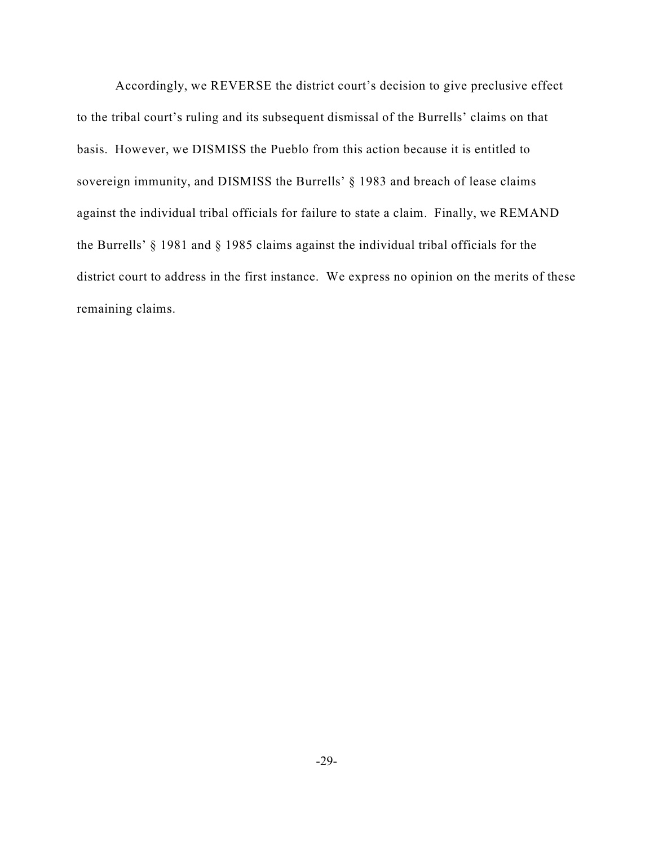Accordingly, we REVERSE the district court's decision to give preclusive effect to the tribal court's ruling and its subsequent dismissal of the Burrells' claims on that basis. However, we DISMISS the Pueblo from this action because it is entitled to sovereign immunity, and DISMISS the Burrells' § 1983 and breach of lease claims against the individual tribal officials for failure to state a claim. Finally, we REMAND the Burrells' § 1981 and § 1985 claims against the individual tribal officials for the district court to address in the first instance. We express no opinion on the merits of these remaining claims.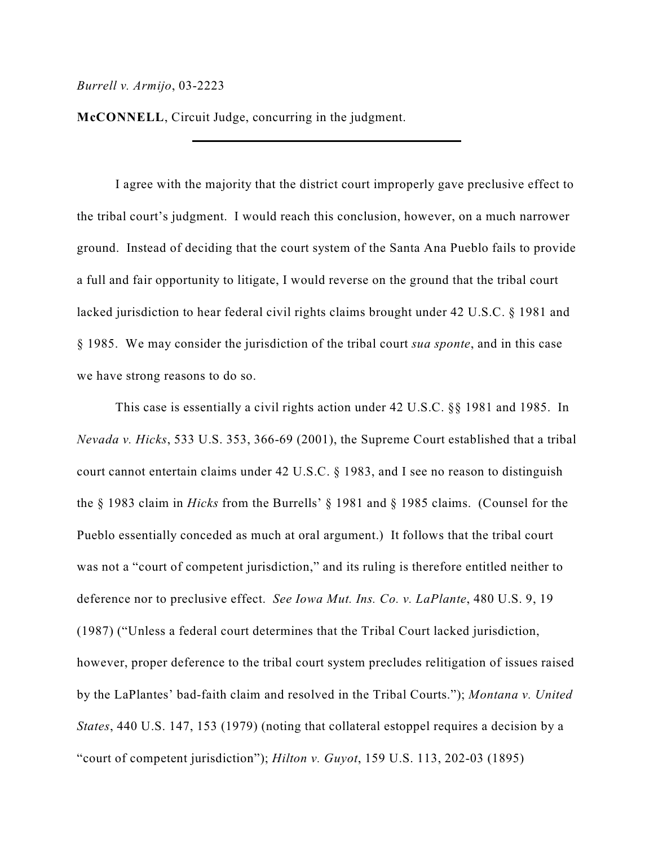**McCONNELL**, Circuit Judge, concurring in the judgment.

I agree with the majority that the district court improperly gave preclusive effect to the tribal court's judgment. I would reach this conclusion, however, on a much narrower ground. Instead of deciding that the court system of the Santa Ana Pueblo fails to provide a full and fair opportunity to litigate, I would reverse on the ground that the tribal court lacked jurisdiction to hear federal civil rights claims brought under 42 U.S.C. § 1981 and § 1985. We may consider the jurisdiction of the tribal court *sua sponte*, and in this case we have strong reasons to do so.

This case is essentially a civil rights action under 42 U.S.C. §§ 1981 and 1985. In *Nevada v. Hicks*, 533 U.S. 353, 366-69 (2001), the Supreme Court established that a tribal court cannot entertain claims under 42 U.S.C. § 1983, and I see no reason to distinguish the § 1983 claim in *Hicks* from the Burrells' § 1981 and § 1985 claims. (Counsel for the Pueblo essentially conceded as much at oral argument.) It follows that the tribal court was not a "court of competent jurisdiction," and its ruling is therefore entitled neither to deference nor to preclusive effect. *See Iowa Mut. Ins. Co. v. LaPlante*, 480 U.S. 9, 19 (1987) ("Unless a federal court determines that the Tribal Court lacked jurisdiction, however, proper deference to the tribal court system precludes relitigation of issues raised by the LaPlantes' bad-faith claim and resolved in the Tribal Courts."); *Montana v. United States*, 440 U.S. 147, 153 (1979) (noting that collateral estoppel requires a decision by a "court of competent jurisdiction"); *Hilton v. Guyot*, 159 U.S. 113, 202-03 (1895)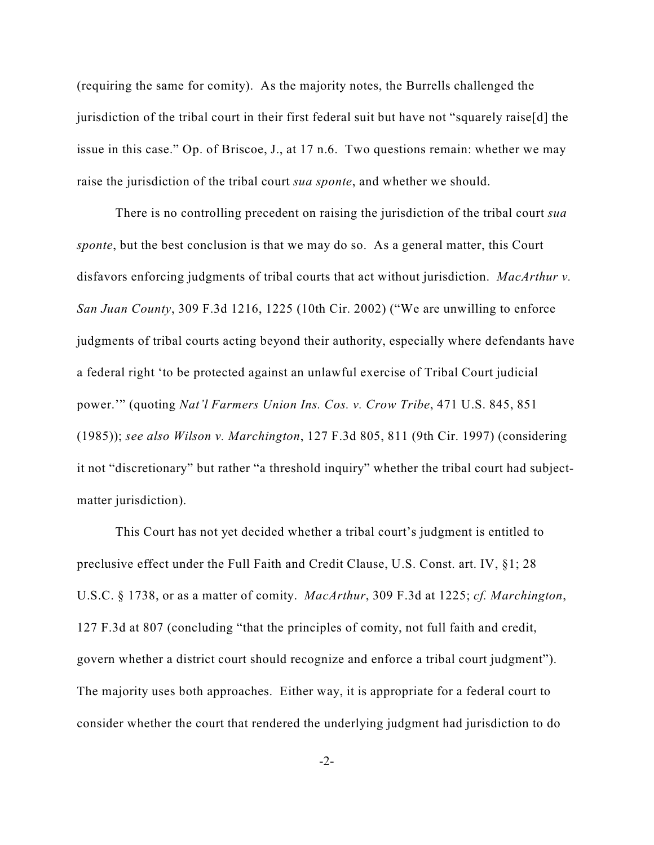(requiring the same for comity). As the majority notes, the Burrells challenged the jurisdiction of the tribal court in their first federal suit but have not "squarely raise[d] the issue in this case." Op. of Briscoe, J., at 17 n.6. Two questions remain: whether we may raise the jurisdiction of the tribal court *sua sponte*, and whether we should.

There is no controlling precedent on raising the jurisdiction of the tribal court *sua sponte*, but the best conclusion is that we may do so. As a general matter, this Court disfavors enforcing judgments of tribal courts that act without jurisdiction. *MacArthur v. San Juan County*, 309 F.3d 1216, 1225 (10th Cir. 2002) ("We are unwilling to enforce judgments of tribal courts acting beyond their authority, especially where defendants have a federal right 'to be protected against an unlawful exercise of Tribal Court judicial power.'" (quoting *Nat'l Farmers Union Ins. Cos. v. Crow Tribe*, 471 U.S. 845, 851 (1985)); *see also Wilson v. Marchington*, 127 F.3d 805, 811 (9th Cir. 1997) (considering it not "discretionary" but rather "a threshold inquiry" whether the tribal court had subjectmatter jurisdiction).

This Court has not yet decided whether a tribal court's judgment is entitled to preclusive effect under the Full Faith and Credit Clause, U.S. Const. art. IV, §1; 28 U.S.C. § 1738, or as a matter of comity. *MacArthur*, 309 F.3d at 1225; *cf. Marchington*, 127 F.3d at 807 (concluding "that the principles of comity, not full faith and credit, govern whether a district court should recognize and enforce a tribal court judgment"). The majority uses both approaches. Either way, it is appropriate for a federal court to consider whether the court that rendered the underlying judgment had jurisdiction to do

-2-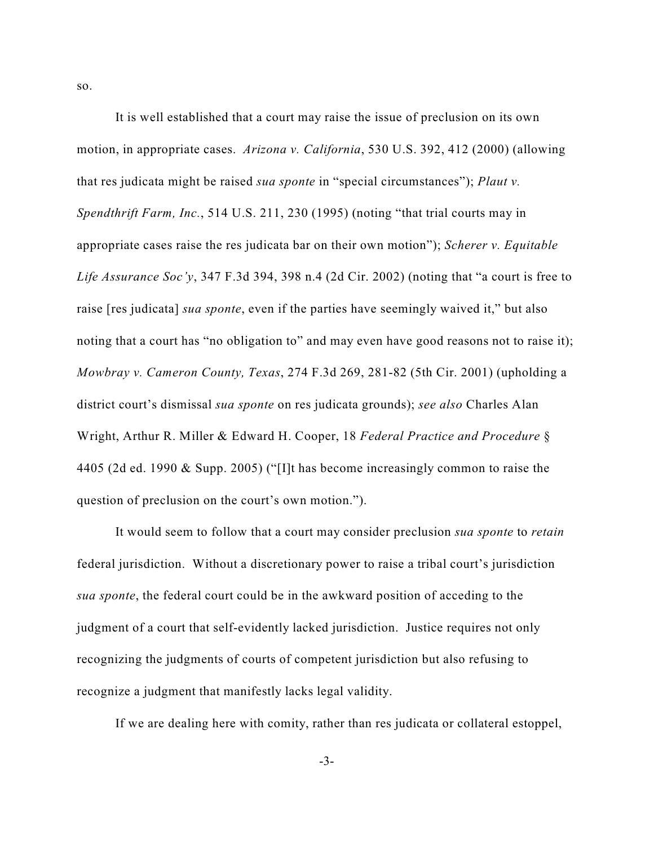It is well established that a court may raise the issue of preclusion on its own motion, in appropriate cases. *Arizona v. California*, 530 U.S. 392, 412 (2000) (allowing that res judicata might be raised *sua sponte* in "special circumstances"); *Plaut v. Spendthrift Farm, Inc.*, 514 U.S. 211, 230 (1995) (noting "that trial courts may in appropriate cases raise the res judicata bar on their own motion"); *Scherer v. Equitable Life Assurance Soc'y*, 347 F.3d 394, 398 n.4 (2d Cir. 2002) (noting that "a court is free to raise [res judicata] *sua sponte*, even if the parties have seemingly waived it," but also noting that a court has "no obligation to" and may even have good reasons not to raise it); *Mowbray v. Cameron County, Texas*, 274 F.3d 269, 281-82 (5th Cir. 2001) (upholding a district court's dismissal *sua sponte* on res judicata grounds); *see also* Charles Alan Wright, Arthur R. Miller & Edward H. Cooper, 18 *Federal Practice and Procedure* § 4405 (2d ed. 1990 & Supp. 2005) ("[I]t has become increasingly common to raise the question of preclusion on the court's own motion.").

It would seem to follow that a court may consider preclusion *sua sponte* to *retain* federal jurisdiction. Without a discretionary power to raise a tribal court's jurisdiction *sua sponte*, the federal court could be in the awkward position of acceding to the judgment of a court that self-evidently lacked jurisdiction. Justice requires not only recognizing the judgments of courts of competent jurisdiction but also refusing to recognize a judgment that manifestly lacks legal validity.

If we are dealing here with comity, rather than res judicata or collateral estoppel,

so.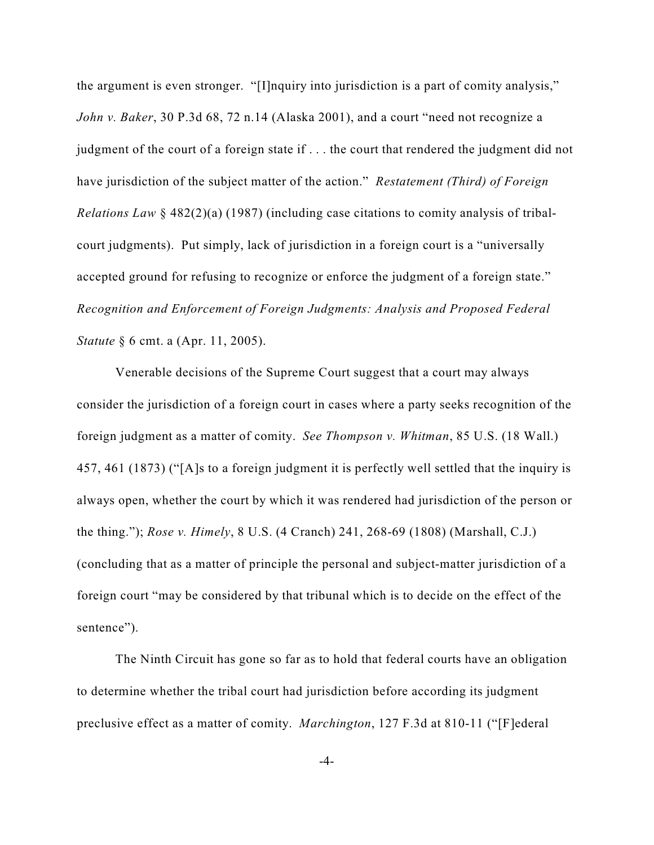the argument is even stronger. "[I]nquiry into jurisdiction is a part of comity analysis," *John v. Baker*, 30 P.3d 68, 72 n.14 (Alaska 2001), and a court "need not recognize a judgment of the court of a foreign state if . . . the court that rendered the judgment did not have jurisdiction of the subject matter of the action." *Restatement (Third) of Foreign Relations Law* § 482(2)(a) (1987) (including case citations to comity analysis of tribalcourt judgments). Put simply, lack of jurisdiction in a foreign court is a "universally accepted ground for refusing to recognize or enforce the judgment of a foreign state." *Recognition and Enforcement of Foreign Judgments: Analysis and Proposed Federal Statute* § 6 cmt. a (Apr. 11, 2005).

Venerable decisions of the Supreme Court suggest that a court may always consider the jurisdiction of a foreign court in cases where a party seeks recognition of the foreign judgment as a matter of comity. *See Thompson v. Whitman*, 85 U.S. (18 Wall.) 457, 461 (1873) ("[A]s to a foreign judgment it is perfectly well settled that the inquiry is always open, whether the court by which it was rendered had jurisdiction of the person or the thing."); *Rose v. Himely*, 8 U.S. (4 Cranch) 241, 268-69 (1808) (Marshall, C.J.) (concluding that as a matter of principle the personal and subject-matter jurisdiction of a foreign court "may be considered by that tribunal which is to decide on the effect of the sentence").

The Ninth Circuit has gone so far as to hold that federal courts have an obligation to determine whether the tribal court had jurisdiction before according its judgment preclusive effect as a matter of comity. *Marchington*, 127 F.3d at 810-11 ("[F]ederal

-4-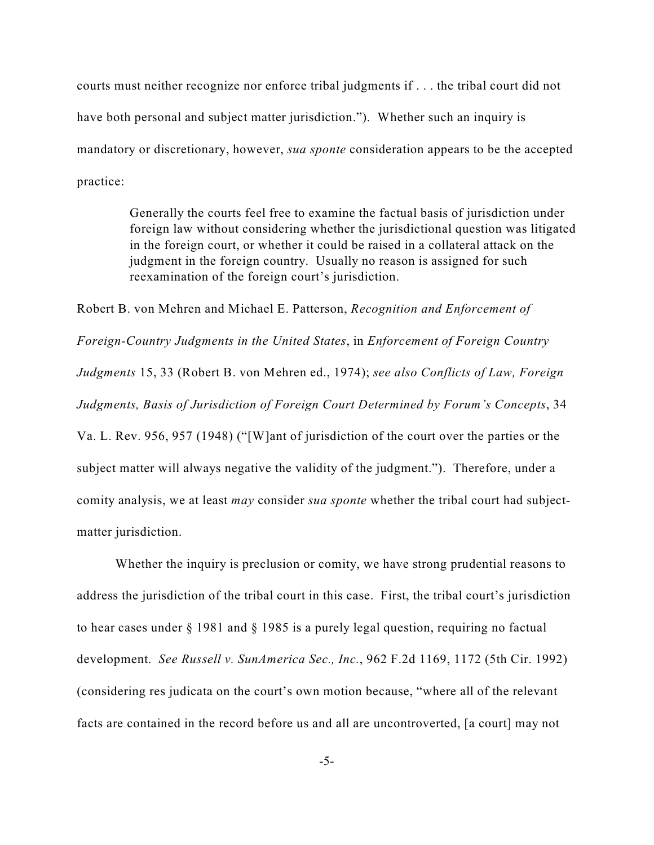courts must neither recognize nor enforce tribal judgments if . . . the tribal court did not have both personal and subject matter jurisdiction."). Whether such an inquiry is mandatory or discretionary, however, *sua sponte* consideration appears to be the accepted practice:

> Generally the courts feel free to examine the factual basis of jurisdiction under foreign law without considering whether the jurisdictional question was litigated in the foreign court, or whether it could be raised in a collateral attack on the judgment in the foreign country. Usually no reason is assigned for such reexamination of the foreign court's jurisdiction.

Robert B. von Mehren and Michael E. Patterson, *Recognition and Enforcement of Foreign-Country Judgments in the United States*, in *Enforcement of Foreign Country Judgments* 15, 33 (Robert B. von Mehren ed., 1974); *see also Conflicts of Law, Foreign Judgments, Basis of Jurisdiction of Foreign Court Determined by Forum's Concepts*, 34 Va. L. Rev. 956, 957 (1948) ("[W]ant of jurisdiction of the court over the parties or the subject matter will always negative the validity of the judgment."). Therefore, under a comity analysis, we at least *may* consider *sua sponte* whether the tribal court had subjectmatter jurisdiction.

Whether the inquiry is preclusion or comity, we have strong prudential reasons to address the jurisdiction of the tribal court in this case. First, the tribal court's jurisdiction to hear cases under § 1981 and § 1985 is a purely legal question, requiring no factual development. *See Russell v. SunAmerica Sec., Inc.*, 962 F.2d 1169, 1172 (5th Cir. 1992) (considering res judicata on the court's own motion because, "where all of the relevant facts are contained in the record before us and all are uncontroverted, [a court] may not

-5-